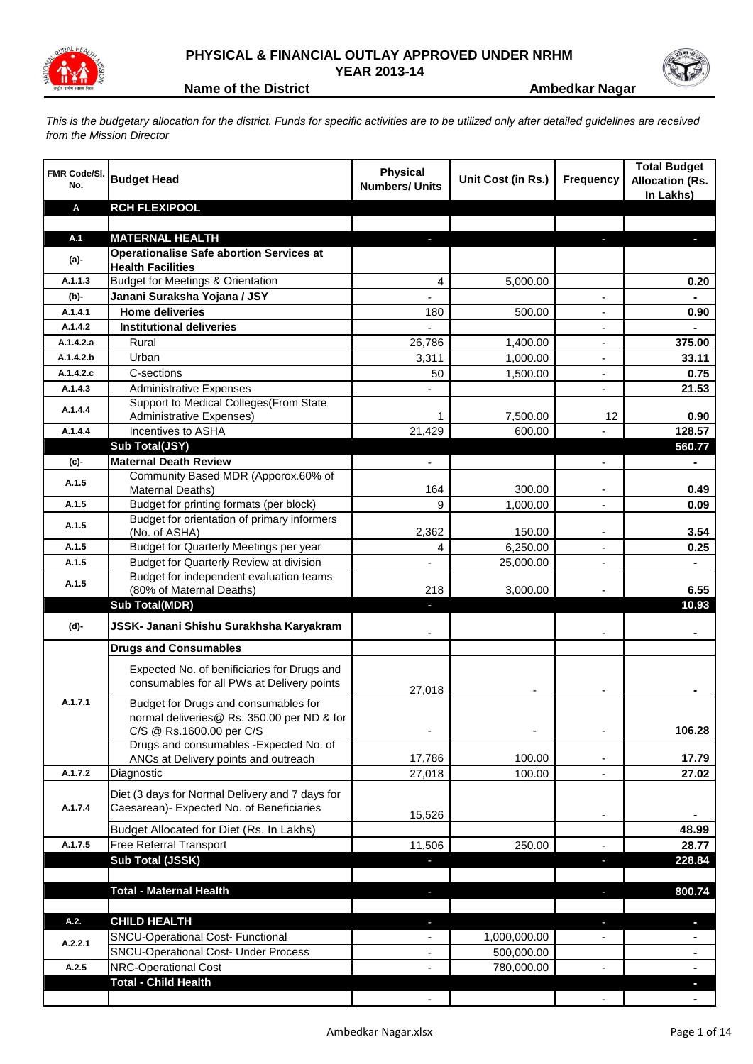

## **PHYSICAL & FINANCIAL OUTLAY APPROVED UNDER NRHM**

**YEAR 2013-14**

**Name of the District <b>Ambedkar Nagar Ambedkar Nagar** 

*This is the budgetary allocation for the district. Funds for specific activities are to be utilized only after detailed guidelines are received from the Mission Director*

| <b>FMR Code/SI.</b><br>No. | <b>Budget Head</b>                                                          | <b>Physical</b><br><b>Numbers/ Units</b>             | Unit Cost (in Rs.) | <b>Frequency</b>                                     | <b>Total Budget</b><br><b>Allocation (Rs.</b><br>In Lakhs) |
|----------------------------|-----------------------------------------------------------------------------|------------------------------------------------------|--------------------|------------------------------------------------------|------------------------------------------------------------|
| A                          | <b>RCH FLEXIPOOL</b>                                                        |                                                      |                    |                                                      |                                                            |
|                            |                                                                             |                                                      |                    |                                                      |                                                            |
| A.1                        | <b>MATERNAL HEALTH</b>                                                      | P.                                                   |                    | J,                                                   | п                                                          |
| (a)-                       | <b>Operationalise Safe abortion Services at</b><br><b>Health Facilities</b> |                                                      |                    |                                                      |                                                            |
| A.1.1.3                    | <b>Budget for Meetings &amp; Orientation</b>                                | $\overline{4}$                                       | 5,000.00           |                                                      | 0.20                                                       |
| $(b)$ -                    | Janani Suraksha Yojana / JSY                                                |                                                      |                    |                                                      |                                                            |
| A.1.4.1                    | <b>Home deliveries</b>                                                      | 180                                                  | 500.00             |                                                      | 0.90                                                       |
| A.1.4.2                    | <b>Institutional deliveries</b>                                             |                                                      |                    |                                                      |                                                            |
| A.1.4.2.a                  | Rural                                                                       | 26,786                                               | 1,400.00           | $\overline{a}$                                       | 375.00                                                     |
| A.1.4.2.b                  | Urban                                                                       | 3,311                                                | 1,000.00           |                                                      | 33.11                                                      |
| A.1.4.2.c                  | C-sections                                                                  | 50                                                   | 1,500.00           |                                                      | 0.75                                                       |
| A.1.4.3                    | <b>Administrative Expenses</b>                                              |                                                      |                    |                                                      | 21.53                                                      |
| A.1.4.4                    | Support to Medical Colleges (From State                                     |                                                      |                    |                                                      |                                                            |
|                            | <b>Administrative Expenses)</b>                                             | $\mathbf{1}$                                         | 7,500.00           | 12                                                   | 0.90                                                       |
| A.1.4.4                    | Incentives to ASHA                                                          | 21,429                                               | 600.00             |                                                      | 128.57                                                     |
|                            | Sub Total(JSY)                                                              |                                                      |                    |                                                      | 560.77                                                     |
| (c)-                       | <b>Maternal Death Review</b>                                                |                                                      |                    |                                                      |                                                            |
| A.1.5                      | Community Based MDR (Apporox.60% of<br>Maternal Deaths)                     | 164                                                  | 300.00             |                                                      | 0.49                                                       |
| A.1.5                      | Budget for printing formats (per block)                                     | 9                                                    | 1,000.00           | $\overline{\phantom{a}}$<br>$\overline{\phantom{a}}$ | 0.09                                                       |
|                            | Budget for orientation of primary informers                                 |                                                      |                    |                                                      |                                                            |
| A.1.5                      | (No. of ASHA)                                                               | 2,362                                                | 150.00             |                                                      | 3.54                                                       |
| A.1.5                      | Budget for Quarterly Meetings per year                                      | 4                                                    | 6,250.00           |                                                      | 0.25                                                       |
| A.1.5                      | Budget for Quarterly Review at division                                     |                                                      | 25,000.00          |                                                      |                                                            |
| A.1.5                      | Budget for independent evaluation teams                                     |                                                      |                    |                                                      |                                                            |
|                            | (80% of Maternal Deaths)                                                    | 218                                                  | 3,000.00           |                                                      | 6.55                                                       |
|                            | <b>Sub Total(MDR)</b>                                                       |                                                      |                    |                                                      | 10.93                                                      |
| (d)-                       | JSSK- Janani Shishu Surakhsha Karyakram                                     |                                                      |                    |                                                      |                                                            |
|                            | <b>Drugs and Consumables</b>                                                |                                                      |                    |                                                      |                                                            |
|                            | Expected No. of benificiaries for Drugs and                                 |                                                      |                    |                                                      |                                                            |
|                            | consumables for all PWs at Delivery points                                  |                                                      |                    |                                                      |                                                            |
|                            |                                                                             | 27,018                                               |                    |                                                      |                                                            |
| A.1.7.1                    | Budget for Drugs and consumables for                                        |                                                      |                    |                                                      |                                                            |
|                            | normal deliveries@ Rs. 350.00 per ND & for<br>C/S @ Rs.1600.00 per C/S      |                                                      |                    |                                                      | 106.28                                                     |
|                            | Drugs and consumables - Expected No. of                                     |                                                      |                    |                                                      |                                                            |
|                            | ANCs at Delivery points and outreach                                        | 17,786                                               | 100.00             |                                                      | 17.79                                                      |
| A.1.7.2                    | Diagnostic                                                                  | 27,018                                               | 100.00             |                                                      | 27.02                                                      |
|                            | Diet (3 days for Normal Delivery and 7 days for                             |                                                      |                    |                                                      |                                                            |
| A.1.7.4                    | Caesarean)- Expected No. of Beneficiaries                                   |                                                      |                    |                                                      |                                                            |
|                            |                                                                             | 15,526                                               |                    |                                                      |                                                            |
|                            | Budget Allocated for Diet (Rs. In Lakhs)                                    |                                                      |                    |                                                      | 48.99                                                      |
| A.1.7.5                    | Free Referral Transport                                                     | 11,506                                               | 250.00             |                                                      | 28.77                                                      |
|                            | Sub Total (JSSK)                                                            | E.                                                   |                    | J,                                                   | 228.84                                                     |
|                            |                                                                             |                                                      |                    |                                                      |                                                            |
|                            | <b>Total - Maternal Health</b>                                              | ٠                                                    |                    | ×,                                                   | 800.74                                                     |
| A.2.                       | <b>CHILD HEALTH</b>                                                         |                                                      |                    |                                                      |                                                            |
|                            | SNCU-Operational Cost- Functional                                           | ٠                                                    | 1,000,000.00       | J,<br>$\overline{\phantom{a}}$                       | ٠                                                          |
| A.2.2.1                    | <b>SNCU-Operational Cost- Under Process</b>                                 | $\overline{\phantom{a}}$<br>$\overline{\phantom{a}}$ | 500,000.00         |                                                      | ۰                                                          |
| A.2.5                      | <b>NRC-Operational Cost</b>                                                 |                                                      | 780,000.00         | $\overline{a}$                                       | $\blacksquare$                                             |
|                            | <b>Total - Child Health</b>                                                 |                                                      |                    |                                                      |                                                            |
|                            |                                                                             |                                                      |                    |                                                      | $\blacksquare$                                             |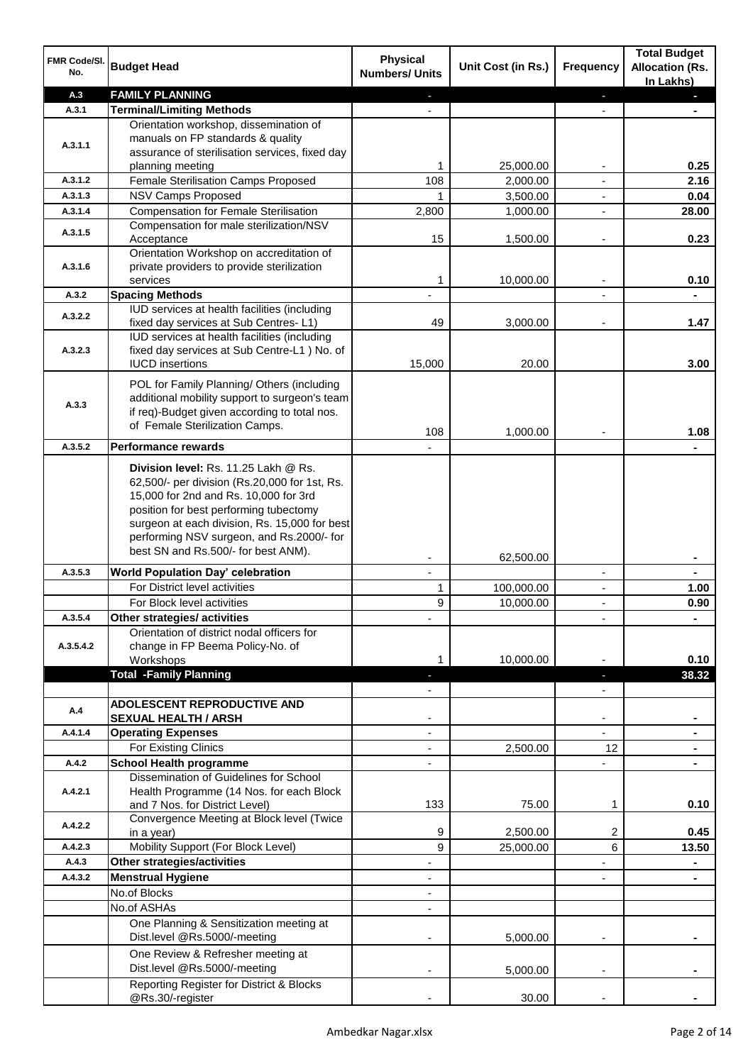| FMR Code/SI.<br>No. | <b>Budget Head</b>                                                                          | <b>Physical</b><br><b>Numbers/ Units</b> | Unit Cost (in Rs.) | <b>Frequency</b>         | <b>Total Budget</b><br><b>Allocation (Rs.</b><br>In Lakhs) |
|---------------------|---------------------------------------------------------------------------------------------|------------------------------------------|--------------------|--------------------------|------------------------------------------------------------|
| A.3                 | <b>FAMILY PLANNING</b>                                                                      | ٠                                        |                    | $\overline{\phantom{a}}$ | $\blacksquare$                                             |
| A.3.1               | <b>Terminal/Limiting Methods</b>                                                            |                                          |                    |                          |                                                            |
|                     | Orientation workshop, dissemination of                                                      |                                          |                    |                          |                                                            |
| A.3.1.1             | manuals on FP standards & quality                                                           |                                          |                    |                          |                                                            |
|                     | assurance of sterilisation services, fixed day                                              |                                          |                    |                          |                                                            |
|                     | planning meeting                                                                            | 1                                        | 25,000.00          |                          | 0.25                                                       |
| A.3.1.2             | Female Sterilisation Camps Proposed                                                         | 108                                      | 2,000.00           |                          | 2.16                                                       |
| A.3.1.3             | <b>NSV Camps Proposed</b>                                                                   | 1                                        | 3,500.00           | L,                       | 0.04                                                       |
| A.3.1.4             | <b>Compensation for Female Sterilisation</b>                                                | 2,800                                    | 1,000.00           | L,                       | 28.00                                                      |
| A.3.1.5             | Compensation for male sterilization/NSV                                                     |                                          |                    |                          |                                                            |
|                     | Acceptance                                                                                  | 15                                       | 1,500.00           | $\overline{\phantom{a}}$ | 0.23                                                       |
|                     | Orientation Workshop on accreditation of                                                    |                                          |                    |                          |                                                            |
| A.3.1.6             | private providers to provide sterilization<br>services                                      | 1                                        | 10,000.00          |                          | 0.10                                                       |
| A.3.2               | <b>Spacing Methods</b>                                                                      |                                          |                    |                          |                                                            |
|                     | IUD services at health facilities (including                                                |                                          |                    |                          |                                                            |
| A.3.2.2             | fixed day services at Sub Centres-L1)                                                       | 49                                       | 3,000.00           |                          | 1.47                                                       |
|                     | IUD services at health facilities (including                                                |                                          |                    |                          |                                                            |
| A.3.2.3             | fixed day services at Sub Centre-L1 ) No. of                                                |                                          |                    |                          |                                                            |
|                     | <b>IUCD</b> insertions                                                                      | 15,000                                   | 20.00              |                          | 3.00                                                       |
|                     |                                                                                             |                                          |                    |                          |                                                            |
|                     | POL for Family Planning/ Others (including<br>additional mobility support to surgeon's team |                                          |                    |                          |                                                            |
| A.3.3               | if req)-Budget given according to total nos.                                                |                                          |                    |                          |                                                            |
|                     | of Female Sterilization Camps.                                                              |                                          |                    |                          |                                                            |
|                     |                                                                                             | 108                                      | 1,000.00           |                          | 1.08                                                       |
| A.3.5.2             | <b>Performance rewards</b>                                                                  |                                          |                    |                          |                                                            |
|                     | Division level: Rs. 11.25 Lakh @ Rs.                                                        |                                          |                    |                          |                                                            |
|                     | 62,500/- per division (Rs.20,000 for 1st, Rs.                                               |                                          |                    |                          |                                                            |
|                     | 15,000 for 2nd and Rs. 10,000 for 3rd                                                       |                                          |                    |                          |                                                            |
|                     | position for best performing tubectomy                                                      |                                          |                    |                          |                                                            |
|                     | surgeon at each division, Rs. 15,000 for best                                               |                                          |                    |                          |                                                            |
|                     | performing NSV surgeon, and Rs.2000/- for                                                   |                                          |                    |                          |                                                            |
|                     | best SN and Rs.500/- for best ANM).                                                         | ۰                                        | 62,500.00          |                          |                                                            |
| A.3.5.3             | <b>World Population Day' celebration</b>                                                    | ۰                                        |                    | $\overline{\phantom{a}}$ |                                                            |
|                     | For District level activities                                                               | 1                                        | 100,000.00         | ۰                        | 1.00                                                       |
|                     | For Block level activities                                                                  | 9                                        | 10,000.00          | $\overline{\phantom{a}}$ | 0.90                                                       |
| A.3.5.4             | Other strategies/ activities                                                                |                                          |                    | $\overline{\phantom{a}}$ | $\blacksquare$                                             |
|                     | Orientation of district nodal officers for                                                  |                                          |                    |                          |                                                            |
| A.3.5.4.2           | change in FP Beema Policy-No. of                                                            |                                          |                    |                          |                                                            |
|                     | Workshops                                                                                   | 1                                        | 10,000.00          |                          | 0.10                                                       |
|                     | <b>Total -Family Planning</b>                                                               |                                          |                    | ٠                        | 38.32                                                      |
|                     |                                                                                             |                                          |                    | $\overline{\phantom{a}}$ |                                                            |
| A.4                 | ADOLESCENT REPRODUCTIVE AND                                                                 |                                          |                    |                          |                                                            |
|                     | <b>SEXUAL HEALTH / ARSH</b>                                                                 | ۰                                        |                    | ۰                        | ۰                                                          |
| A.4.1.4             | <b>Operating Expenses</b>                                                                   | ÷,                                       |                    | Ξ.                       | $\blacksquare$                                             |
|                     | For Existing Clinics                                                                        | $\overline{\phantom{0}}$                 | 2,500.00           | 12                       | $\blacksquare$                                             |
| A.4.2               | <b>School Health programme</b>                                                              | $\overline{\phantom{0}}$                 |                    | L.                       | $\blacksquare$                                             |
|                     | Dissemination of Guidelines for School                                                      |                                          |                    |                          |                                                            |
| A.4.2.1             | Health Programme (14 Nos. for each Block                                                    |                                          |                    |                          |                                                            |
|                     | and 7 Nos. for District Level)                                                              | 133                                      | 75.00              | 1                        | 0.10                                                       |
| A.4.2.2             | Convergence Meeting at Block level (Twice                                                   |                                          |                    |                          |                                                            |
|                     | in a year)                                                                                  | 9                                        | 2,500.00           | 2                        | 0.45                                                       |
| A.4.2.3             | Mobility Support (For Block Level)                                                          | 9                                        | 25,000.00          | 6                        | 13.50                                                      |
| A.4.3               | <b>Other strategies/activities</b>                                                          |                                          |                    |                          | ۰                                                          |
| A.4.3.2             | <b>Menstrual Hygiene</b>                                                                    | $\overline{\phantom{0}}$                 |                    | $\overline{\phantom{0}}$ |                                                            |
|                     | No.of Blocks                                                                                | $\overline{\phantom{0}}$                 |                    |                          |                                                            |
|                     | No.of ASHAs                                                                                 |                                          |                    |                          |                                                            |
|                     | One Planning & Sensitization meeting at                                                     |                                          |                    |                          |                                                            |
|                     | Dist.level @Rs.5000/-meeting                                                                | ٠                                        | 5,000.00           | $\overline{a}$           |                                                            |
|                     | One Review & Refresher meeting at                                                           |                                          |                    |                          |                                                            |
|                     | Dist.level @Rs.5000/-meeting                                                                |                                          | 5,000.00           |                          |                                                            |
|                     | Reporting Register for District & Blocks                                                    |                                          |                    |                          |                                                            |
|                     | @Rs.30/-register                                                                            |                                          | 30.00              |                          |                                                            |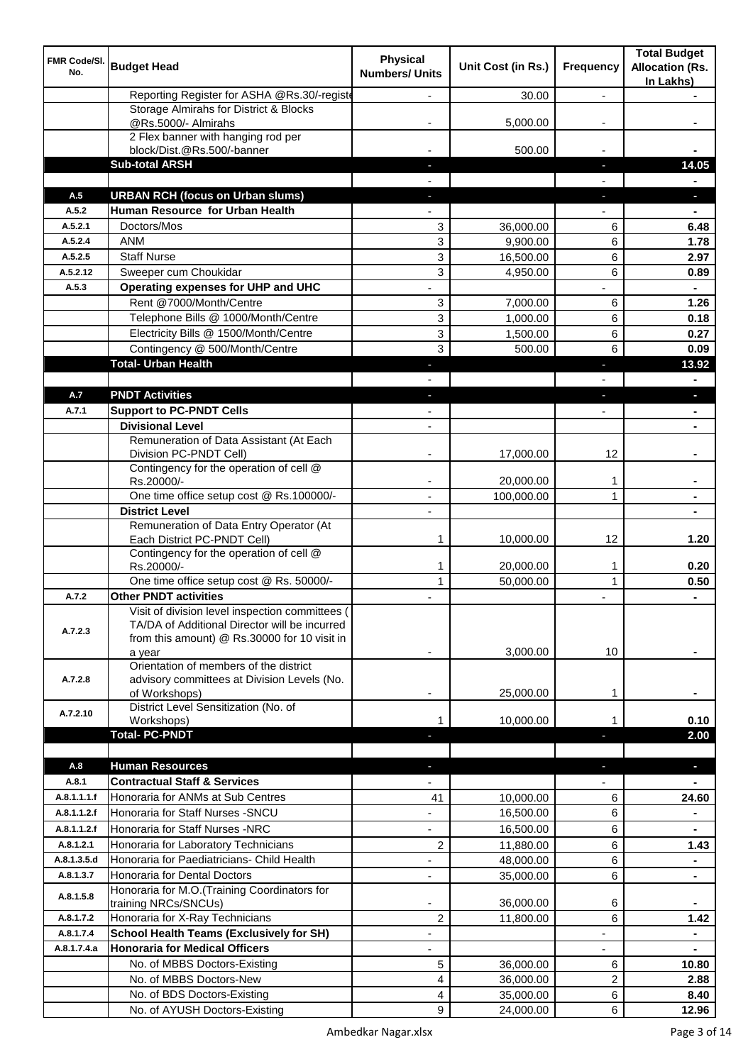| FMR Code/SI.<br>No. | <b>Budget Head</b>                                                                               | <b>Physical</b><br><b>Numbers/ Units</b> | Unit Cost (in Rs.)     | <b>Frequency</b>         | <b>Total Budget</b><br><b>Allocation (Rs.</b> |
|---------------------|--------------------------------------------------------------------------------------------------|------------------------------------------|------------------------|--------------------------|-----------------------------------------------|
|                     | Reporting Register for ASHA @Rs.30/-registe                                                      |                                          | 30.00                  | $\overline{\phantom{a}}$ | In Lakhs)                                     |
|                     | Storage Almirahs for District & Blocks                                                           |                                          |                        |                          |                                               |
|                     | @Rs.5000/- Almirahs                                                                              |                                          | 5,000.00               | $\overline{\phantom{a}}$ |                                               |
|                     | 2 Flex banner with hanging rod per                                                               |                                          |                        |                          |                                               |
|                     | block/Dist.@Rs.500/-banner                                                                       |                                          | 500.00                 |                          |                                               |
|                     | <b>Sub-total ARSH</b>                                                                            | ٠                                        |                        | J,                       | 14.05                                         |
| A.5                 | <b>URBAN RCH (focus on Urban slums)</b>                                                          |                                          |                        |                          |                                               |
| A.5.2               | Human Resource for Urban Health                                                                  | н                                        |                        | J,                       | n,                                            |
| A.5.2.1             | Doctors/Mos                                                                                      | 3                                        | 36,000.00              | 6                        | 6.48                                          |
| A.5.2.4             | <b>ANM</b>                                                                                       | 3                                        | 9,900.00               | 6                        | 1.78                                          |
| A.5.2.5             | <b>Staff Nurse</b>                                                                               | 3                                        | 16,500.00              | 6                        | 2.97                                          |
| A.5.2.12            | Sweeper cum Choukidar                                                                            | 3                                        | 4,950.00               | 6                        | 0.89                                          |
| A.5.3               | Operating expenses for UHP and UHC                                                               |                                          |                        |                          |                                               |
|                     | Rent @7000/Month/Centre                                                                          | 3                                        | 7,000.00               | 6                        | 1.26                                          |
|                     | Telephone Bills @ 1000/Month/Centre                                                              | 3                                        | 1,000.00               | 6                        | 0.18                                          |
|                     | Electricity Bills @ 1500/Month/Centre                                                            | 3                                        | 1,500.00               | 6                        | 0.27                                          |
|                     | Contingency @ 500/Month/Centre                                                                   | 3                                        | 500.00                 | 6                        | 0.09                                          |
|                     | <b>Total- Urban Health</b>                                                                       |                                          |                        | H,                       | 13.92                                         |
|                     |                                                                                                  |                                          |                        |                          |                                               |
| A.7                 | <b>PNDT Activities</b>                                                                           |                                          |                        |                          | a.                                            |
| A.7.1               | <b>Support to PC-PNDT Cells</b>                                                                  |                                          |                        |                          |                                               |
|                     | <b>Divisional Level</b><br>Remuneration of Data Assistant (At Each                               |                                          |                        |                          |                                               |
|                     | Division PC-PNDT Cell)                                                                           |                                          | 17,000.00              | 12                       |                                               |
|                     | Contingency for the operation of cell @                                                          |                                          |                        |                          |                                               |
|                     | Rs.20000/-                                                                                       |                                          | 20,000.00              | 1                        |                                               |
|                     | One time office setup cost @ Rs.100000/-                                                         |                                          | 100,000.00             | 1                        |                                               |
|                     | <b>District Level</b>                                                                            |                                          |                        |                          |                                               |
|                     | Remuneration of Data Entry Operator (At                                                          |                                          |                        |                          |                                               |
|                     | Each District PC-PNDT Cell)<br>Contingency for the operation of cell @                           | 1                                        | 10,000.00              | 12                       | 1.20                                          |
|                     | Rs.20000/-                                                                                       | 1                                        | 20,000.00              | 1                        | 0.20                                          |
|                     | One time office setup cost @ Rs. 50000/-                                                         | $\mathbf{1}$                             | 50,000.00              | 1                        | 0.50                                          |
| A.7.2               | <b>Other PNDT activities</b>                                                                     |                                          |                        |                          | $\blacksquare$                                |
|                     | Visit of division level inspection committees (<br>TA/DA of Additional Director will be incurred |                                          |                        |                          |                                               |
| A.7.2.3             | from this amount) @ Rs.30000 for 10 visit in                                                     |                                          |                        |                          |                                               |
|                     | a year                                                                                           |                                          | 3,000.00               | 10                       |                                               |
|                     | Orientation of members of the district                                                           |                                          |                        |                          |                                               |
| A.7.2.8             | advisory committees at Division Levels (No.                                                      |                                          |                        |                          |                                               |
|                     | of Workshops)                                                                                    |                                          | 25,000.00              | 1                        |                                               |
| A.7.2.10            | District Level Sensitization (No. of<br>Workshops)                                               |                                          | 10,000.00              | 1                        | 0.10                                          |
|                     | <b>Total-PC-PNDT</b>                                                                             |                                          |                        |                          | 2.00                                          |
|                     |                                                                                                  |                                          |                        |                          |                                               |
| A.8                 | <b>Human Resources</b>                                                                           |                                          |                        | ٠                        | $\overline{\phantom{a}}$                      |
| A.8.1               | <b>Contractual Staff &amp; Services</b>                                                          |                                          |                        |                          |                                               |
| A.8.1.1.1.f         | Honoraria for ANMs at Sub Centres                                                                | 41                                       | 10,000.00              | 6                        | 24.60                                         |
| A.8.1.1.2.f         | Honoraria for Staff Nurses - SNCU                                                                |                                          | 16,500.00              | 6                        |                                               |
| A.8.1.1.2.f         | Honoraria for Staff Nurses -NRC                                                                  |                                          | 16,500.00              | 6                        |                                               |
| A.8.1.2.1           | Honoraria for Laboratory Technicians                                                             | 2                                        | 11,880.00              | 6                        | 1.43                                          |
| A.8.1.3.5.d         | Honoraria for Paediatricians- Child Health                                                       | $\overline{\phantom{a}}$                 | 48,000.00              | 6                        | ۰                                             |
| A.8.1.3.7           | Honoraria for Dental Doctors                                                                     | $\overline{\phantom{a}}$                 | 35,000.00              | 6                        | $\blacksquare$                                |
| A.8.1.5.8           | Honoraria for M.O. (Training Coordinators for                                                    |                                          |                        |                          |                                               |
| A.8.1.7.2           | training NRCs/SNCUs)<br>Honoraria for X-Ray Technicians                                          | 2                                        | 36,000.00<br>11,800.00 | 6<br>6                   | 1.42                                          |
| A.8.1.7.4           | <b>School Health Teams (Exclusively for SH)</b>                                                  |                                          |                        |                          |                                               |
| A.8.1.7.4.a         | <b>Honoraria for Medical Officers</b>                                                            |                                          |                        |                          |                                               |
|                     | No. of MBBS Doctors-Existing                                                                     | 5                                        | 36,000.00              | 6                        | 10.80                                         |
|                     | No. of MBBS Doctors-New                                                                          | 4                                        | 36,000.00              | 2                        | 2.88                                          |
|                     | No. of BDS Doctors-Existing                                                                      | 4                                        | 35,000.00              | 6                        | 8.40                                          |
|                     | No. of AYUSH Doctors-Existing                                                                    | 9                                        | 24,000.00              | 6                        | 12.96                                         |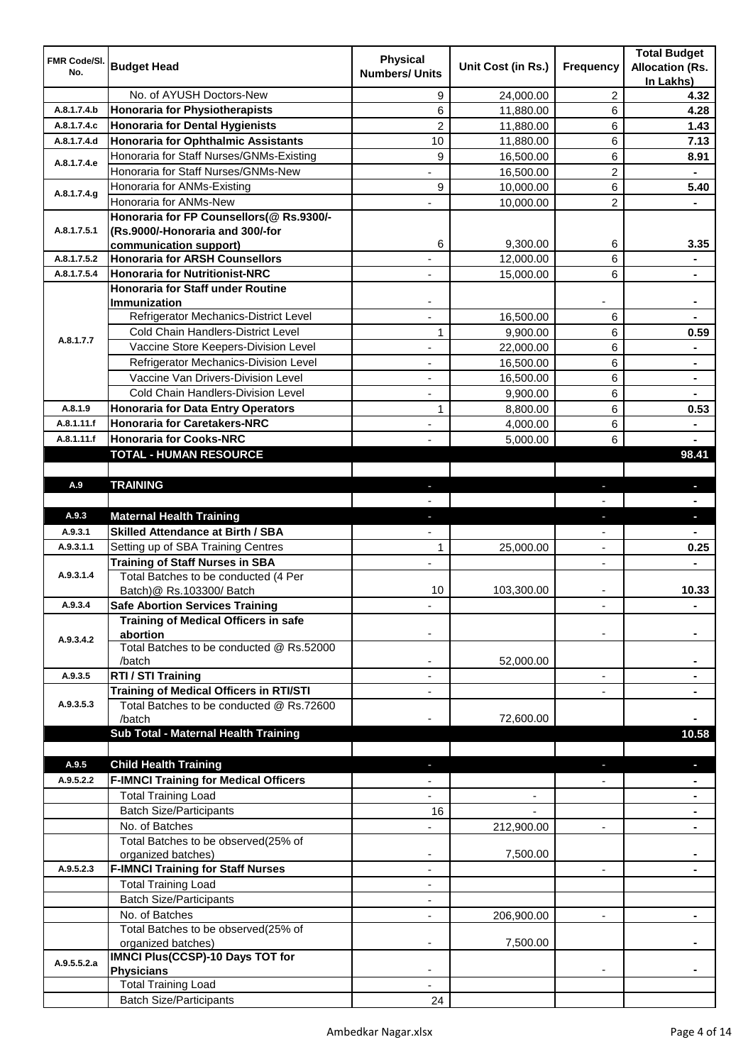| FMR Code/SI. | <b>Budget Head</b>                                                               | <b>Physical</b>       |                    |                          | <b>Total Budget</b>                 |
|--------------|----------------------------------------------------------------------------------|-----------------------|--------------------|--------------------------|-------------------------------------|
| No.          |                                                                                  | <b>Numbers/ Units</b> | Unit Cost (in Rs.) | <b>Frequency</b>         | <b>Allocation (Rs.</b><br>In Lakhs) |
|              | No. of AYUSH Doctors-New                                                         | 9                     | 24,000.00          | 2                        | 4.32                                |
| A.8.1.7.4.b  | <b>Honoraria for Physiotherapists</b>                                            | 6                     | 11,880.00          | 6                        | 4.28                                |
| A.8.1.7.4.c  | <b>Honoraria for Dental Hygienists</b>                                           | $\overline{2}$        | 11,880.00          | 6                        | 1.43                                |
| A.8.1.7.4.d  | <b>Honoraria for Ophthalmic Assistants</b>                                       | 10                    | 11,880.00          | 6                        | 7.13                                |
|              | Honoraria for Staff Nurses/GNMs-Existing                                         | 9                     | 16,500.00          | 6                        | 8.91                                |
| A.8.1.7.4.e  | Honoraria for Staff Nurses/GNMs-New                                              |                       | 16,500.00          | 2                        |                                     |
|              | Honoraria for ANMs-Existing                                                      | 9                     | 10,000.00          | 6                        | 5.40                                |
| A.8.1.7.4.g  | Honoraria for ANMs-New                                                           |                       | 10,000.00          | 2                        |                                     |
|              | Honoraria for FP Counsellors(@ Rs.9300/-                                         |                       |                    |                          |                                     |
| A.8.1.7.5.1  | (Rs.9000/-Honoraria and 300/-for                                                 |                       |                    |                          |                                     |
|              | communication support)                                                           | 6                     | 9,300.00           | 6                        | 3.35                                |
| A.8.1.7.5.2  | <b>Honoraria for ARSH Counsellors</b>                                            |                       | 12,000.00          | 6                        |                                     |
| A.8.1.7.5.4  | <b>Honoraria for Nutritionist-NRC</b>                                            |                       | 15,000.00          | 6                        |                                     |
|              | <b>Honoraria for Staff under Routine</b>                                         |                       |                    |                          |                                     |
|              | <b>Immunization</b><br>Refrigerator Mechanics-District Level                     |                       | 16,500.00          | 6                        |                                     |
|              | Cold Chain Handlers-District Level                                               | 1                     |                    | 6                        |                                     |
| A.8.1.7.7    | Vaccine Store Keepers-Division Level                                             |                       | 9,900.00           | 6                        | 0.59                                |
|              |                                                                                  |                       | 22,000.00          |                          |                                     |
|              | Refrigerator Mechanics-Division Level<br>Vaccine Van Drivers-Division Level      |                       | 16,500.00          | 6<br>6                   |                                     |
|              | <b>Cold Chain Handlers-Division Level</b>                                        |                       | 16,500.00          |                          |                                     |
| A.8.1.9      |                                                                                  |                       | 9,900.00           | 6                        |                                     |
| A.8.1.11.f   | <b>Honoraria for Data Entry Operators</b><br><b>Honoraria for Caretakers-NRC</b> | 1                     | 8,800.00           | 6                        | 0.53                                |
| A.8.1.11.f   | <b>Honoraria for Cooks-NRC</b>                                                   |                       | 4,000.00           | 6<br>6                   | $\blacksquare$                      |
|              | <b>TOTAL - HUMAN RESOURCE</b>                                                    |                       | 5,000.00           |                          | 98.41                               |
|              |                                                                                  |                       |                    |                          |                                     |
| A.9          | <b>TRAINING</b>                                                                  | $\sim$                |                    | ٠                        | o.                                  |
|              |                                                                                  |                       |                    |                          |                                     |
| A.9.3        | <b>Maternal Health Training</b>                                                  |                       |                    |                          | o.                                  |
| A.9.3.1      | <b>Skilled Attendance at Birth / SBA</b>                                         |                       |                    |                          |                                     |
| A.9.3.1.1    | Setting up of SBA Training Centres                                               | 1                     | 25,000.00          |                          | 0.25                                |
|              | <b>Training of Staff Nurses in SBA</b>                                           |                       |                    | ÷,                       |                                     |
| A.9.3.1.4    | Total Batches to be conducted (4 Per                                             |                       |                    |                          |                                     |
|              | Batch)@ Rs.103300/ Batch                                                         | 10                    | 103,300.00         |                          | 10.33                               |
| A.9.3.4      | <b>Safe Abortion Services Training</b>                                           |                       |                    |                          |                                     |
|              | <b>Training of Medical Officers in safe</b>                                      |                       |                    |                          |                                     |
| A.9.3.4.2    | abortion                                                                         |                       |                    |                          |                                     |
|              | Total Batches to be conducted @ Rs.52000                                         |                       |                    |                          |                                     |
|              | /batch                                                                           |                       | 52,000.00          |                          |                                     |
| A.9.3.5      | RTI / STI Training                                                               |                       |                    |                          |                                     |
|              | <b>Training of Medical Officers in RTI/STI</b>                                   |                       |                    |                          |                                     |
| A.9.3.5.3    | Total Batches to be conducted @ Rs.72600                                         |                       |                    |                          |                                     |
|              | /batch<br>Sub Total - Maternal Health Training                                   |                       | 72,600.00          |                          | 10.58                               |
|              |                                                                                  |                       |                    |                          |                                     |
| A.9.5        | <b>Child Health Training</b>                                                     |                       |                    |                          |                                     |
| A.9.5.2.2    | <b>F-IMNCI Training for Medical Officers</b>                                     |                       |                    |                          |                                     |
|              | <b>Total Training Load</b>                                                       |                       |                    |                          |                                     |
|              | <b>Batch Size/Participants</b>                                                   | 16                    |                    |                          |                                     |
|              | No. of Batches                                                                   |                       |                    | $\overline{\phantom{a}}$ |                                     |
|              | Total Batches to be observed(25% of                                              |                       | 212,900.00         |                          |                                     |
|              | organized batches)                                                               |                       | 7,500.00           |                          |                                     |
| A.9.5.2.3    | <b>F-IMNCI Training for Staff Nurses</b>                                         |                       |                    |                          |                                     |
|              | <b>Total Training Load</b>                                                       |                       |                    |                          |                                     |
|              | <b>Batch Size/Participants</b>                                                   |                       |                    |                          |                                     |
|              | No. of Batches                                                                   |                       | 206,900.00         |                          |                                     |
|              | Total Batches to be observed(25% of                                              |                       |                    |                          |                                     |
|              | organized batches)                                                               |                       | 7,500.00           |                          |                                     |
| A.9.5.5.2.a  | <b>IMNCI Plus(CCSP)-10 Days TOT for</b>                                          |                       |                    |                          |                                     |
|              | <b>Physicians</b>                                                                |                       |                    |                          |                                     |
|              | <b>Total Training Load</b>                                                       |                       |                    |                          |                                     |
|              | <b>Batch Size/Participants</b>                                                   | 24                    |                    |                          |                                     |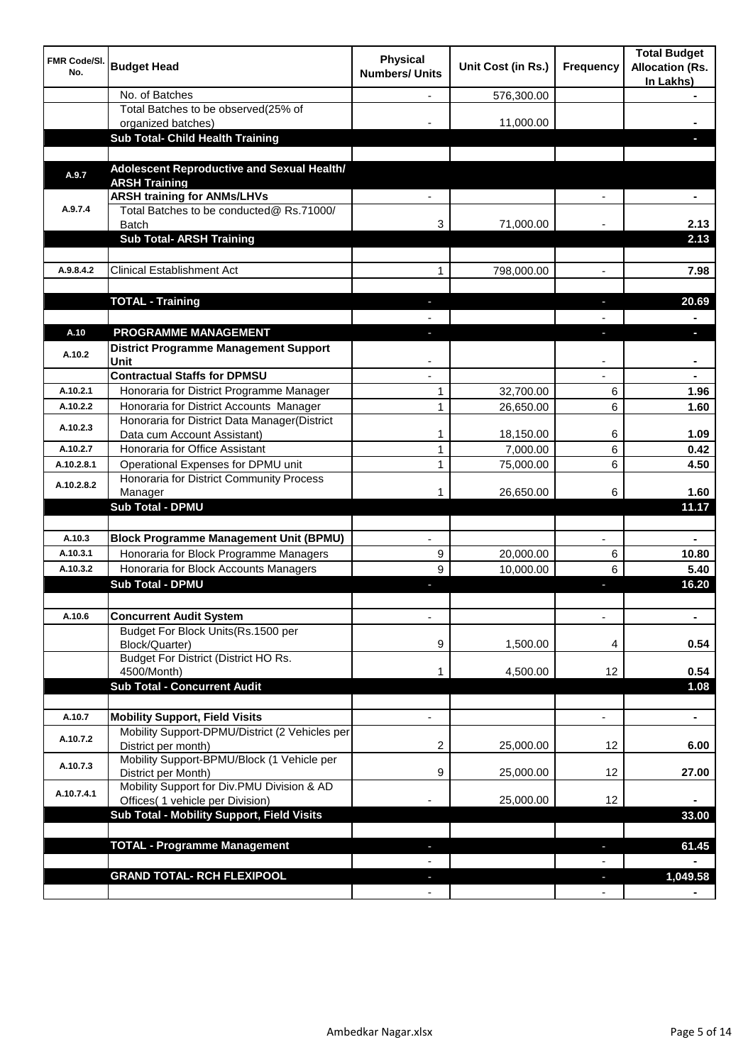| <b>FMR Code/SI.</b><br>No. | <b>Budget Head</b>                                                                      | <b>Physical</b><br><b>Numbers/ Units</b> | Unit Cost (in Rs.) | Frequency                | <b>Total Budget</b><br><b>Allocation (Rs.</b><br>In Lakhs) |
|----------------------------|-----------------------------------------------------------------------------------------|------------------------------------------|--------------------|--------------------------|------------------------------------------------------------|
|                            | No. of Batches                                                                          |                                          | 576,300.00         |                          |                                                            |
|                            | Total Batches to be observed(25% of<br>organized batches)                               |                                          | 11,000.00          |                          |                                                            |
|                            | <b>Sub Total- Child Health Training</b>                                                 |                                          |                    |                          |                                                            |
|                            |                                                                                         |                                          |                    |                          |                                                            |
| A.9.7                      | Adolescent Reproductive and Sexual Health/<br><b>ARSH Training</b>                      |                                          |                    |                          |                                                            |
|                            | <b>ARSH training for ANMs/LHVs</b>                                                      |                                          |                    |                          |                                                            |
| A.9.7.4                    | Total Batches to be conducted@ Rs.71000/<br><b>Batch</b>                                | 3                                        | 71,000.00          |                          | 2.13                                                       |
|                            | <b>Sub Total- ARSH Training</b>                                                         |                                          |                    |                          | 2.13                                                       |
|                            |                                                                                         |                                          |                    |                          |                                                            |
| A.9.8.4.2                  | <b>Clinical Establishment Act</b>                                                       | 1                                        | 798,000.00         |                          | 7.98                                                       |
|                            | <b>TOTAL - Training</b>                                                                 |                                          |                    |                          | 20.69                                                      |
|                            |                                                                                         |                                          |                    |                          |                                                            |
| A.10                       | PROGRAMME MANAGEMENT                                                                    |                                          |                    |                          |                                                            |
| A.10.2                     | <b>District Programme Management Support</b><br>Unit                                    |                                          |                    |                          |                                                            |
|                            | <b>Contractual Staffs for DPMSU</b>                                                     |                                          |                    |                          |                                                            |
| A.10.2.1                   | Honoraria for District Programme Manager                                                | 1                                        | 32,700.00          | 6                        | 1.96                                                       |
| A.10.2.2                   | Honoraria for District Accounts Manager                                                 | $\mathbf{1}$                             | 26,650.00          | 6                        | 1.60                                                       |
| A.10.2.3                   | Honoraria for District Data Manager(District                                            |                                          |                    |                          |                                                            |
|                            | Data cum Account Assistant)                                                             | 1                                        | 18,150.00          | 6                        | 1.09                                                       |
| A.10.2.7                   | Honoraria for Office Assistant                                                          | $\mathbf{1}$                             | 7,000.00           | 6                        | 0.42                                                       |
| A.10.2.8.1                 | Operational Expenses for DPMU unit                                                      | 1                                        | 75,000.00          | 6                        | 4.50                                                       |
| A.10.2.8.2                 | Honoraria for District Community Process<br>Manager                                     | 1                                        | 26,650.00          | 6                        | 1.60                                                       |
|                            | Sub Total - DPMU                                                                        |                                          |                    |                          | 11.17                                                      |
|                            |                                                                                         |                                          |                    |                          |                                                            |
| A.10.3                     | <b>Block Programme Management Unit (BPMU)</b>                                           |                                          |                    |                          |                                                            |
| A.10.3.1                   | Honoraria for Block Programme Managers                                                  | 9                                        | 20,000.00          | 6                        | 10.80                                                      |
| A.10.3.2                   | Honoraria for Block Accounts Managers                                                   | 9                                        | 10,000.00          | 6                        | 5.40                                                       |
|                            | <b>Sub Total - DPMU</b>                                                                 | ٠                                        |                    | ı                        | 16.20                                                      |
|                            |                                                                                         |                                          |                    |                          |                                                            |
| A.10.6                     | <b>Concurrent Audit System</b>                                                          | ٠                                        |                    | $\overline{\phantom{a}}$ | $\blacksquare$                                             |
|                            | Budget For Block Units(Rs.1500 per<br>Block/Quarter)                                    | 9                                        | 1,500.00           | 4                        | 0.54                                                       |
|                            | Budget For District (District HO Rs.                                                    |                                          |                    |                          |                                                            |
|                            | 4500/Month)                                                                             | 1                                        | 4,500.00           | 12                       | 0.54                                                       |
|                            | <b>Sub Total - Concurrent Audit</b>                                                     |                                          |                    |                          | 1.08                                                       |
|                            |                                                                                         |                                          |                    |                          |                                                            |
| A.10.7                     | <b>Mobility Support, Field Visits</b><br>Mobility Support-DPMU/District (2 Vehicles per | $\overline{\phantom{0}}$                 |                    | ä,                       | $\blacksquare$                                             |
| A.10.7.2                   | District per month)                                                                     | 2                                        | 25,000.00          | 12                       | 6.00                                                       |
| A.10.7.3                   | Mobility Support-BPMU/Block (1 Vehicle per<br>District per Month)                       | 9                                        | 25,000.00          | 12                       | 27.00                                                      |
| A.10.7.4.1                 | Mobility Support for Div.PMU Division & AD<br>Offices( 1 vehicle per Division)          |                                          | 25,000.00          | 12                       |                                                            |
|                            | Sub Total - Mobility Support, Field Visits                                              |                                          |                    |                          | 33.00                                                      |
|                            |                                                                                         |                                          |                    |                          |                                                            |
|                            | <b>TOTAL - Programme Management</b>                                                     |                                          |                    | н                        | 61.45                                                      |
|                            |                                                                                         |                                          |                    |                          |                                                            |
|                            | <b>GRAND TOTAL- RCH FLEXIPOOL</b>                                                       |                                          |                    |                          | 1,049.58                                                   |
|                            |                                                                                         |                                          |                    |                          |                                                            |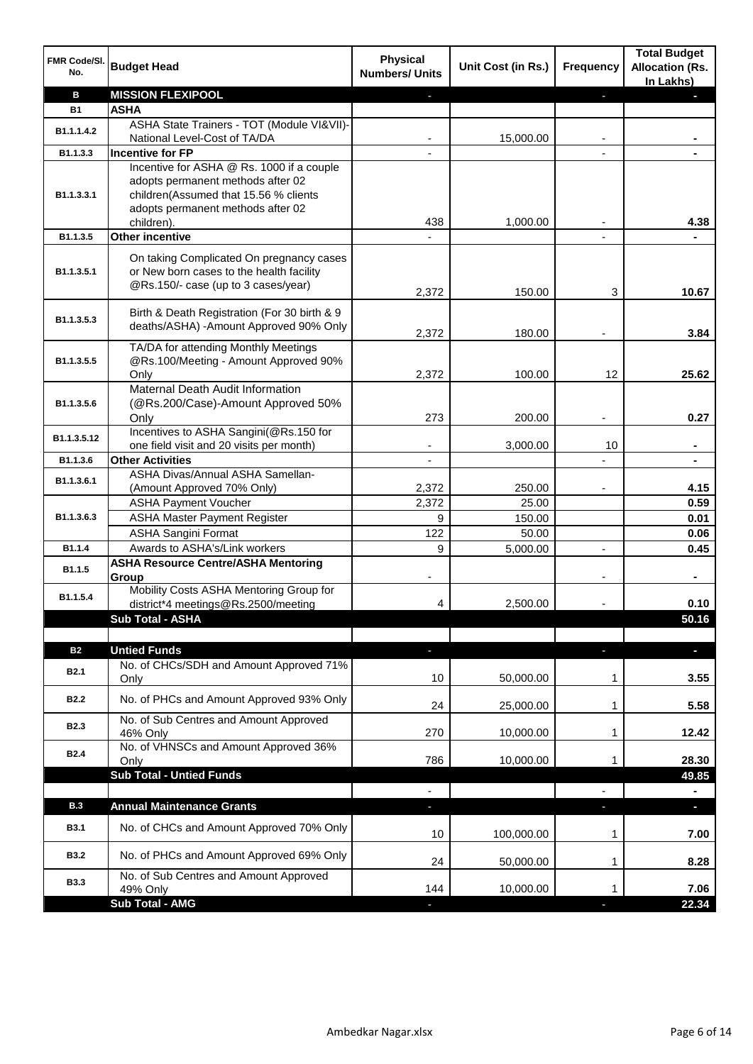| FMR Code/SI.<br>No.           | <b>Budget Head</b>                                                                                                                                                         | <b>Physical</b><br><b>Numbers/ Units</b> | Unit Cost (in Rs.) | Frequency                | <b>Total Budget</b><br><b>Allocation (Rs.</b><br>In Lakhs) |
|-------------------------------|----------------------------------------------------------------------------------------------------------------------------------------------------------------------------|------------------------------------------|--------------------|--------------------------|------------------------------------------------------------|
| B                             | <b>MISSION FLEXIPOOL</b>                                                                                                                                                   |                                          |                    |                          |                                                            |
| <b>B1</b>                     | <b>ASHA</b>                                                                                                                                                                |                                          |                    |                          |                                                            |
| B1.1.1.4.2                    | ASHA State Trainers - TOT (Module VI&VII)-<br>National Level-Cost of TA/DA                                                                                                 |                                          | 15,000.00          |                          |                                                            |
| B1.1.3.3                      | <b>Incentive for FP</b>                                                                                                                                                    |                                          |                    |                          |                                                            |
| B1.1.3.3.1                    | Incentive for ASHA @ Rs. 1000 if a couple<br>adopts permanent methods after 02<br>children(Assumed that 15.56 % clients<br>adopts permanent methods after 02<br>children). | 438                                      | 1,000.00           |                          | 4.38                                                       |
| B1.1.3.5                      | <b>Other incentive</b>                                                                                                                                                     |                                          |                    |                          |                                                            |
| B1.1.3.5.1                    | On taking Complicated On pregnancy cases<br>or New born cases to the health facility<br>@Rs.150/- case (up to 3 cases/year)                                                | 2,372                                    | 150.00             | 3                        | 10.67                                                      |
| B1.1.3.5.3                    | Birth & Death Registration (For 30 birth & 9<br>deaths/ASHA) - Amount Approved 90% Only                                                                                    | 2,372                                    | 180.00             |                          | 3.84                                                       |
| B1.1.3.5.5                    | TA/DA for attending Monthly Meetings<br>@Rs.100/Meeting - Amount Approved 90%<br>Only                                                                                      | 2,372                                    | 100.00             | 12                       | 25.62                                                      |
| B1.1.3.5.6                    | Maternal Death Audit Information<br>(@Rs.200/Case)-Amount Approved 50%<br>Only                                                                                             | 273                                      | 200.00             |                          | 0.27                                                       |
| B1.1.3.5.12                   | Incentives to ASHA Sangini(@Rs.150 for<br>one field visit and 20 visits per month)                                                                                         |                                          | 3,000.00           | 10                       |                                                            |
| B1.1.3.6                      | <b>Other Activities</b>                                                                                                                                                    |                                          |                    |                          |                                                            |
| B1.1.3.6.1                    | ASHA Divas/Annual ASHA Samellan-<br>(Amount Approved 70% Only)                                                                                                             | 2,372                                    | 250.00             |                          | 4.15                                                       |
|                               | <b>ASHA Payment Voucher</b>                                                                                                                                                | 2,372                                    | 25.00              |                          | 0.59                                                       |
| B1.1.3.6.3                    | <b>ASHA Master Payment Register</b>                                                                                                                                        | 9                                        | 150.00             |                          | 0.01                                                       |
|                               | <b>ASHA Sangini Format</b>                                                                                                                                                 | 122                                      | 50.00              |                          | 0.06                                                       |
| B1.1.4                        | Awards to ASHA's/Link workers                                                                                                                                              | 9                                        | 5,000.00           | $\overline{\phantom{a}}$ | 0.45                                                       |
| B1.1.5                        | <b>ASHA Resource Centre/ASHA Mentoring</b><br>Group                                                                                                                        |                                          |                    | ٠                        |                                                            |
| B1.1.5.4                      | Mobility Costs ASHA Mentoring Group for<br>district*4 meetings@Rs.2500/meeting                                                                                             | 4                                        | 2,500.00           |                          | 0.10                                                       |
|                               | Sub Total - ASHA                                                                                                                                                           |                                          |                    |                          | 50.16                                                      |
|                               |                                                                                                                                                                            |                                          |                    |                          |                                                            |
| <b>B2</b><br>B <sub>2.1</sub> | <b>Untied Funds</b><br>No. of CHCs/SDH and Amount Approved 71%                                                                                                             | 5<br>10                                  | 50,000.00          | ٠                        | a.<br>3.55                                                 |
|                               | Only                                                                                                                                                                       |                                          |                    | 1                        |                                                            |
| <b>B2.2</b>                   | No. of PHCs and Amount Approved 93% Only<br>No. of Sub Centres and Amount Approved                                                                                         | 24                                       | 25,000.00          | 1                        | 5.58                                                       |
| <b>B2.3</b>                   | 46% Only<br>No. of VHNSCs and Amount Approved 36%                                                                                                                          | 270                                      | 10,000.00          | 1                        | 12.42                                                      |
| <b>B2.4</b>                   | Only<br><b>Sub Total - Untied Funds</b>                                                                                                                                    | 786                                      | 10,000.00          | 1                        | 28.30<br>49.85                                             |
|                               |                                                                                                                                                                            | $\overline{\phantom{a}}$                 |                    |                          |                                                            |
| <b>B.3</b>                    | <b>Annual Maintenance Grants</b>                                                                                                                                           | ٠                                        |                    | o,                       | a.                                                         |
| <b>B3.1</b>                   | No. of CHCs and Amount Approved 70% Only                                                                                                                                   | 10                                       | 100,000.00         | 1                        | 7.00                                                       |
| <b>B3.2</b>                   | No. of PHCs and Amount Approved 69% Only                                                                                                                                   | 24                                       | 50,000.00          | 1                        | 8.28                                                       |
| <b>B3.3</b>                   | No. of Sub Centres and Amount Approved<br>49% Only                                                                                                                         | 144                                      | 10,000.00          | 1                        | 7.06                                                       |
|                               | Sub Total - AMG                                                                                                                                                            | L.                                       |                    |                          | 22.34                                                      |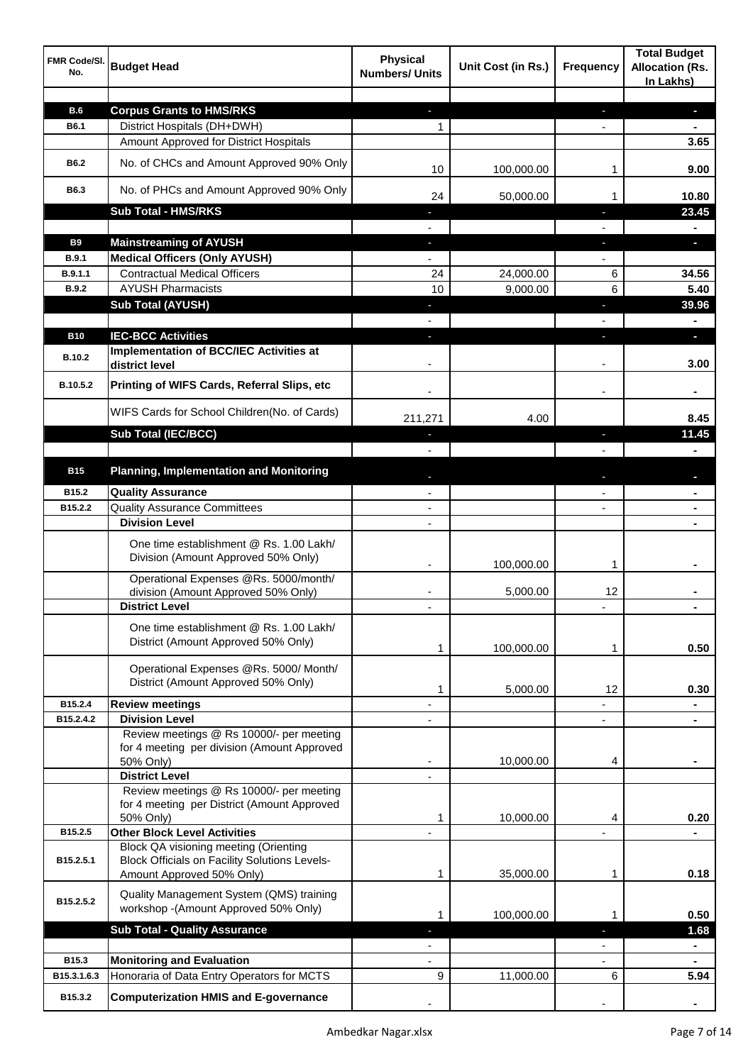| FMR Code/SI.<br>No.     | <b>Budget Head</b>                                                                                                         | <b>Physical</b><br><b>Numbers/ Units</b> | Unit Cost (in Rs.)    | <b>Frequency</b>         | <b>Total Budget</b><br><b>Allocation (Rs.</b><br>In Lakhs) |
|-------------------------|----------------------------------------------------------------------------------------------------------------------------|------------------------------------------|-----------------------|--------------------------|------------------------------------------------------------|
|                         |                                                                                                                            |                                          |                       |                          |                                                            |
| <b>B.6</b>              | <b>Corpus Grants to HMS/RKS</b>                                                                                            | ٠                                        |                       | ٠                        | ٠                                                          |
| B6.1                    | District Hospitals (DH+DWH)                                                                                                | 1                                        |                       |                          | $\blacksquare$                                             |
|                         | Amount Approved for District Hospitals                                                                                     |                                          |                       |                          | 3.65                                                       |
| B6.2                    | No. of CHCs and Amount Approved 90% Only                                                                                   | 10                                       | 100,000.00            | 1                        | 9.00                                                       |
| B6.3                    | No. of PHCs and Amount Approved 90% Only                                                                                   | 24                                       | 50,000.00             | 1                        | 10.80                                                      |
|                         | <b>Sub Total - HMS/RKS</b>                                                                                                 |                                          |                       |                          | 23.45                                                      |
|                         |                                                                                                                            |                                          |                       |                          |                                                            |
| <b>B9</b>               | <b>Mainstreaming of AYUSH</b>                                                                                              |                                          |                       | ı                        | o.                                                         |
| <b>B.9.1</b><br>B.9.1.1 | <b>Medical Officers (Only AYUSH)</b><br><b>Contractual Medical Officers</b>                                                | 24                                       |                       |                          |                                                            |
| <b>B.9.2</b>            | <b>AYUSH Pharmacists</b>                                                                                                   | 10                                       | 24,000.00<br>9,000.00 | 6<br>6                   | 34.56<br>5.40                                              |
|                         | <b>Sub Total (AYUSH)</b>                                                                                                   | a.                                       |                       | E.                       | 39.96                                                      |
|                         |                                                                                                                            |                                          |                       |                          |                                                            |
| <b>B10</b>              | <b>IEC-BCC Activities</b>                                                                                                  |                                          |                       |                          |                                                            |
|                         | Implementation of BCC/IEC Activities at                                                                                    |                                          |                       |                          | o.                                                         |
| B.10.2                  | district level                                                                                                             |                                          |                       |                          | 3.00                                                       |
| B.10.5.2                | Printing of WIFS Cards, Referral Slips, etc                                                                                |                                          |                       | $\overline{\phantom{a}}$ | $\blacksquare$                                             |
|                         | WIFS Cards for School Children(No. of Cards)                                                                               | 211,271                                  | 4.00                  |                          | 8.45                                                       |
|                         | <b>Sub Total (IEC/BCC)</b>                                                                                                 |                                          |                       | r.                       | 11.45                                                      |
|                         |                                                                                                                            |                                          |                       |                          |                                                            |
| <b>B15</b>              | <b>Planning, Implementation and Monitoring</b>                                                                             |                                          |                       |                          |                                                            |
| B15.2                   | <b>Quality Assurance</b>                                                                                                   |                                          |                       |                          |                                                            |
| B15.2.2                 | <b>Quality Assurance Committees</b>                                                                                        |                                          |                       |                          |                                                            |
|                         | <b>Division Level</b>                                                                                                      |                                          |                       |                          |                                                            |
|                         | One time establishment @ Rs. 1.00 Lakh/<br>Division (Amount Approved 50% Only)                                             | ٠                                        | 100,000.00            | 1                        |                                                            |
|                         | Operational Expenses @Rs. 5000/month/                                                                                      |                                          |                       |                          |                                                            |
|                         | division (Amount Approved 50% Only)<br><b>District Level</b>                                                               |                                          | 5,000.00              | 12                       |                                                            |
|                         | One time establishment @ Rs. 1.00 Lakh/<br>District (Amount Approved 50% Only)                                             | 1                                        | 100,000.00            | 1                        | 0.50                                                       |
|                         | Operational Expenses @Rs. 5000/ Month/<br>District (Amount Approved 50% Only)                                              | 1                                        | 5,000.00              | 12                       | 0.30                                                       |
| B15.2.4                 | <b>Review meetings</b>                                                                                                     |                                          |                       |                          |                                                            |
| B15.2.4.2               | <b>Division Level</b>                                                                                                      |                                          |                       | $\overline{\phantom{0}}$ |                                                            |
|                         | Review meetings @ Rs 10000/- per meeting<br>for 4 meeting per division (Amount Approved<br>50% Only)                       |                                          | 10,000.00             | 4                        |                                                            |
|                         | <b>District Level</b>                                                                                                      |                                          |                       |                          |                                                            |
|                         | Review meetings @ Rs 10000/- per meeting                                                                                   |                                          |                       |                          |                                                            |
|                         | for 4 meeting per District (Amount Approved                                                                                |                                          |                       |                          |                                                            |
|                         | 50% Only)                                                                                                                  | 1                                        | 10,000.00             | 4                        | 0.20                                                       |
| B15.2.5                 | <b>Other Block Level Activities</b>                                                                                        |                                          |                       |                          |                                                            |
| B15.2.5.1               | Block QA visioning meeting (Orienting<br><b>Block Officials on Facility Solutions Levels-</b><br>Amount Approved 50% Only) | 1                                        | 35,000.00             | 1                        | 0.18                                                       |
|                         |                                                                                                                            |                                          |                       |                          |                                                            |
| B15.2.5.2               | Quality Management System (QMS) training<br>workshop -(Amount Approved 50% Only)                                           | 1                                        | 100,000.00            | 1                        | 0.50                                                       |
|                         | <b>Sub Total - Quality Assurance</b>                                                                                       | E.                                       |                       | ٠                        | 1.68                                                       |
|                         |                                                                                                                            | ÷,                                       |                       | ÷,                       | $\blacksquare$                                             |
| B15.3                   | <b>Monitoring and Evaluation</b>                                                                                           | $\blacksquare$                           |                       | $\blacksquare$           | $\blacksquare$                                             |
| B15.3.1.6.3             | Honoraria of Data Entry Operators for MCTS                                                                                 | 9                                        | 11,000.00             | 6                        | 5.94                                                       |
| B15.3.2                 | <b>Computerization HMIS and E-governance</b>                                                                               |                                          |                       |                          |                                                            |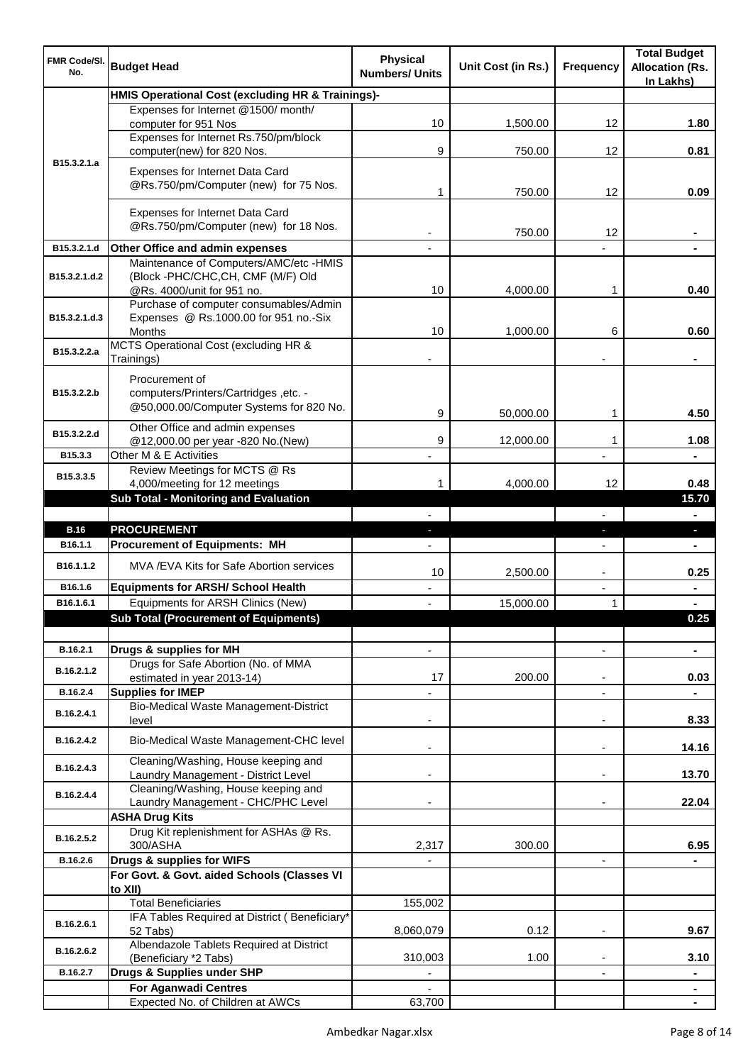| FMR Code/SI.<br>No. | <b>Budget Head</b>                                                                                        | <b>Physical</b><br><b>Numbers/ Units</b> | Unit Cost (in Rs.) | <b>Frequency</b>         | <b>Total Budget</b><br><b>Allocation (Rs.</b><br>In Lakhs) |
|---------------------|-----------------------------------------------------------------------------------------------------------|------------------------------------------|--------------------|--------------------------|------------------------------------------------------------|
|                     | HMIS Operational Cost (excluding HR & Trainings)-                                                         |                                          |                    |                          |                                                            |
|                     | Expenses for Internet @1500/month/<br>computer for 951 Nos                                                | 10                                       | 1,500.00           | 12                       | 1.80                                                       |
|                     | Expenses for Internet Rs.750/pm/block<br>computer(new) for 820 Nos.                                       | 9                                        | 750.00             | 12                       | 0.81                                                       |
| B15.3.2.1.a         | Expenses for Internet Data Card<br>@Rs.750/pm/Computer (new) for 75 Nos.                                  |                                          |                    |                          |                                                            |
|                     |                                                                                                           | 1                                        | 750.00             | 12                       | 0.09                                                       |
|                     | Expenses for Internet Data Card<br>@Rs.750/pm/Computer (new) for 18 Nos.                                  |                                          | 750.00             | 12                       |                                                            |
| B15.3.2.1.d         | Other Office and admin expenses                                                                           |                                          |                    |                          |                                                            |
| B15.3.2.1.d.2       | Maintenance of Computers/AMC/etc -HMIS<br>(Block -PHC/CHC,CH, CMF (M/F) Old<br>@Rs. 4000/unit for 951 no. | 10                                       | 4,000.00           | 1                        | 0.40                                                       |
| B15.3.2.1.d.3       | Purchase of computer consumables/Admin<br>Expenses @ Rs.1000.00 for 951 no.-Six                           |                                          |                    |                          |                                                            |
|                     | <b>Months</b>                                                                                             | 10                                       | 1,000.00           | 6                        | 0.60                                                       |
| B15.3.2.2.a         | MCTS Operational Cost (excluding HR &<br>Trainings)                                                       |                                          |                    |                          |                                                            |
| B15.3.2.2.b         | Procurement of<br>computers/Printers/Cartridges, etc. -<br>@50,000.00/Computer Systems for 820 No.        |                                          |                    |                          |                                                            |
|                     | Other Office and admin expenses                                                                           | 9                                        | 50,000.00          | 1                        | 4.50                                                       |
| B15.3.2.2.d         | @12,000.00 per year -820 No.(New)                                                                         | 9                                        | 12,000.00          | 1                        | 1.08                                                       |
| B15.3.3             | Other M & E Activities<br>Review Meetings for MCTS @ Rs                                                   |                                          |                    |                          |                                                            |
| B15.3.3.5           | 4,000/meeting for 12 meetings                                                                             | 1                                        | 4,000.00           | 12                       | 0.48                                                       |
|                     | <b>Sub Total - Monitoring and Evaluation</b>                                                              |                                          |                    |                          | 15.70                                                      |
| <b>B.16</b>         | <b>PROCUREMENT</b>                                                                                        |                                          |                    |                          | a.                                                         |
| B16.1.1             | <b>Procurement of Equipments: MH</b>                                                                      |                                          |                    | ٠                        | $\blacksquare$                                             |
| B16.1.1.2           | MVA/EVA Kits for Safe Abortion services                                                                   | 10                                       | 2,500.00           | $\overline{\phantom{a}}$ | 0.25                                                       |
| B16.1.6             | <b>Equipments for ARSH/ School Health</b>                                                                 | ÷,                                       |                    | ÷,                       |                                                            |
| B16.1.6.1           | Equipments for ARSH Clinics (New)                                                                         | $\blacksquare$                           | 15,000.00          | 1                        |                                                            |
|                     | <b>Sub Total (Procurement of Equipments)</b>                                                              |                                          |                    |                          | 0.25                                                       |
| B.16.2.1            | Drugs & supplies for MH                                                                                   |                                          |                    |                          |                                                            |
| B.16.2.1.2          | Drugs for Safe Abortion (No. of MMA<br>estimated in year 2013-14)                                         | 17                                       | 200.00             | ۰                        | 0.03                                                       |
| B.16.2.4            | <b>Supplies for IMEP</b><br><b>Bio-Medical Waste Management-District</b>                                  |                                          |                    | ۰                        | $\blacksquare$                                             |
| B.16.2.4.1          | level                                                                                                     |                                          |                    | $\overline{\phantom{a}}$ | 8.33                                                       |
| B.16.2.4.2          | Bio-Medical Waste Management-CHC level<br>Cleaning/Washing, House keeping and                             | $\blacksquare$                           |                    | $\overline{\phantom{a}}$ | 14.16                                                      |
| B.16.2.4.3          | Laundry Management - District Level                                                                       |                                          |                    |                          | 13.70                                                      |
| B.16.2.4.4          | Cleaning/Washing, House keeping and<br>Laundry Management - CHC/PHC Level                                 |                                          |                    |                          | 22.04                                                      |
|                     | <b>ASHA Drug Kits</b><br>Drug Kit replenishment for ASHAs @ Rs.                                           |                                          |                    |                          |                                                            |
| B.16.2.5.2          | 300/ASHA                                                                                                  | 2,317                                    | 300.00             |                          | 6.95                                                       |
| B.16.2.6            | Drugs & supplies for WIFS<br>For Govt. & Govt. aided Schools (Classes VI<br>to XII)                       |                                          |                    | $\blacksquare$           |                                                            |
|                     | <b>Total Beneficiaries</b>                                                                                | 155,002                                  |                    |                          |                                                            |
| B.16.2.6.1          | IFA Tables Required at District (Beneficiary*<br>52 Tabs)                                                 | 8,060,079                                | 0.12               |                          | 9.67                                                       |
| B.16.2.6.2          | Albendazole Tablets Required at District<br>(Beneficiary *2 Tabs)                                         | 310,003                                  | 1.00               |                          | 3.10                                                       |
| B.16.2.7            | Drugs & Supplies under SHP                                                                                | $\overline{\phantom{a}}$                 |                    | $\overline{\phantom{a}}$ |                                                            |
|                     | <b>For Aganwadi Centres</b>                                                                               |                                          |                    |                          | $\blacksquare$                                             |
|                     | Expected No. of Children at AWCs                                                                          | 63,700                                   |                    |                          |                                                            |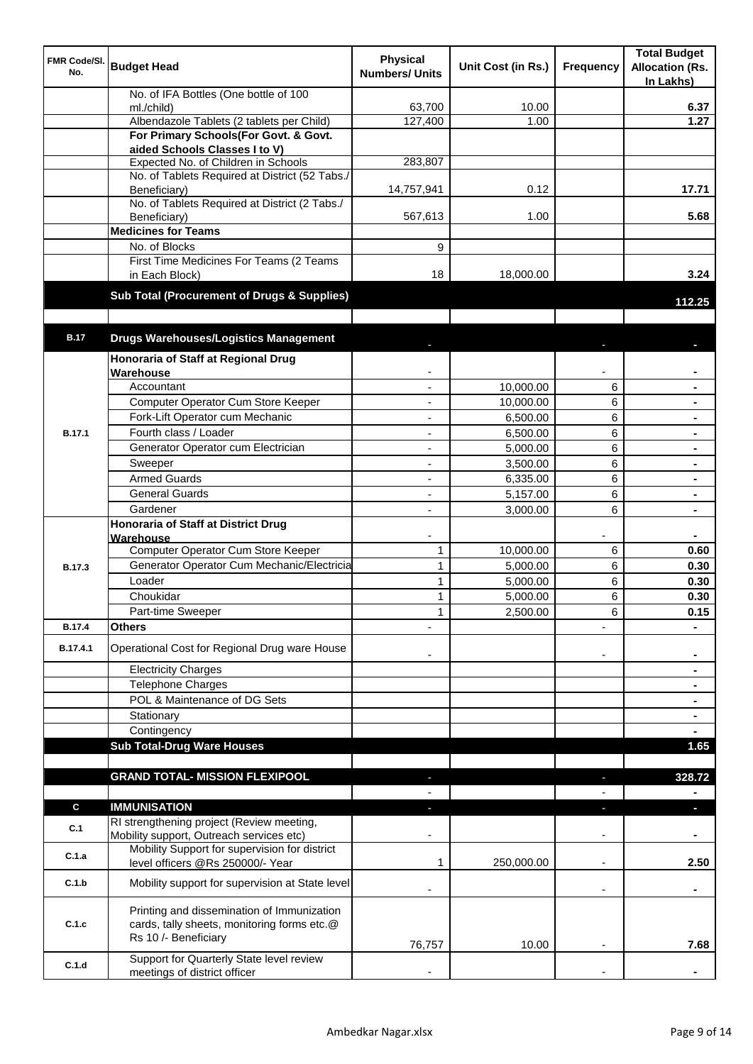| FMR Code/SI.<br>No. | <b>Budget Head</b>                                                                 | <b>Physical</b><br><b>Numbers/ Units</b> | Unit Cost (in Rs.)    | Frequency                | <b>Total Budget</b><br><b>Allocation (Rs.</b><br>In Lakhs) |
|---------------------|------------------------------------------------------------------------------------|------------------------------------------|-----------------------|--------------------------|------------------------------------------------------------|
|                     | No. of IFA Bottles (One bottle of 100                                              |                                          |                       |                          |                                                            |
|                     | ml./child)                                                                         | 63,700                                   | 10.00                 |                          | 6.37                                                       |
|                     | Albendazole Tablets (2 tablets per Child)<br>For Primary Schools(For Govt. & Govt. | 127,400                                  | 1.00                  |                          | 1.27                                                       |
|                     | aided Schools Classes I to V)                                                      |                                          |                       |                          |                                                            |
|                     | Expected No. of Children in Schools                                                | 283,807                                  |                       |                          |                                                            |
|                     | No. of Tablets Required at District (52 Tabs./                                     |                                          |                       |                          |                                                            |
|                     | Beneficiary)                                                                       | 14,757,941                               | 0.12                  |                          | 17.71                                                      |
|                     | No. of Tablets Required at District (2 Tabs./                                      |                                          |                       |                          |                                                            |
|                     | Beneficiary)<br><b>Medicines for Teams</b>                                         | 567,613                                  | 1.00                  |                          | 5.68                                                       |
|                     | No. of Blocks                                                                      | 9                                        |                       |                          |                                                            |
|                     | First Time Medicines For Teams (2 Teams                                            |                                          |                       |                          |                                                            |
|                     | in Each Block)                                                                     | 18                                       | 18,000.00             |                          | 3.24                                                       |
|                     | <b>Sub Total (Procurement of Drugs &amp; Supplies)</b>                             |                                          |                       |                          | 112.25                                                     |
|                     |                                                                                    |                                          |                       |                          |                                                            |
| <b>B.17</b>         | <b>Drugs Warehouses/Logistics Management</b>                                       |                                          |                       |                          |                                                            |
|                     | Honoraria of Staff at Regional Drug                                                |                                          |                       |                          |                                                            |
|                     | Warehouse<br>Accountant                                                            |                                          | 10,000.00             |                          |                                                            |
|                     | Computer Operator Cum Store Keeper                                                 |                                          |                       | 6<br>6                   |                                                            |
|                     | Fork-Lift Operator cum Mechanic                                                    |                                          | 10,000.00<br>6,500.00 | 6                        |                                                            |
| <b>B.17.1</b>       | Fourth class / Loader                                                              |                                          | 6,500.00              | 6                        |                                                            |
|                     | Generator Operator cum Electrician                                                 |                                          | 5,000.00              | 6                        |                                                            |
|                     | Sweeper                                                                            |                                          | 3,500.00              | 6                        |                                                            |
|                     | <b>Armed Guards</b>                                                                |                                          | 6,335.00              | 6                        |                                                            |
|                     | <b>General Guards</b>                                                              |                                          | 5,157.00              | 6                        |                                                            |
|                     | Gardener                                                                           |                                          | 3,000.00              | 6                        |                                                            |
|                     | <b>Honoraria of Staff at District Drug</b>                                         |                                          |                       |                          |                                                            |
|                     | Warehouse                                                                          |                                          |                       |                          |                                                            |
|                     | <b>Computer Operator Cum Store Keeper</b>                                          | 1                                        | 10,000.00             | 6                        | 0.60                                                       |
| <b>B.17.3</b>       | Generator Operator Cum Mechanic/Electricia                                         | 1                                        | 5,000.00              | 6                        | 0.30                                                       |
|                     | Loader<br>Choukidar                                                                | 1                                        | 5,000.00              | 6                        | 0.30                                                       |
|                     | Part-time Sweeper                                                                  | 1<br>1                                   | 5,000.00<br>2,500.00  | 6<br>6                   | 0.30<br>0.15                                               |
| <b>B.17.4</b>       | <b>Others</b>                                                                      |                                          |                       |                          |                                                            |
| B.17.4.1            | Operational Cost for Regional Drug ware House                                      |                                          |                       |                          |                                                            |
|                     | <b>Electricity Charges</b>                                                         |                                          |                       | $\overline{\phantom{a}}$ | $\blacksquare$<br>$\blacksquare$                           |
|                     | <b>Telephone Charges</b>                                                           |                                          |                       |                          | $\blacksquare$                                             |
|                     | POL & Maintenance of DG Sets                                                       |                                          |                       |                          | $\blacksquare$                                             |
|                     | Stationary                                                                         |                                          |                       |                          | ٠                                                          |
|                     | Contingency                                                                        |                                          |                       |                          |                                                            |
|                     | <b>Sub Total-Drug Ware Houses</b>                                                  |                                          |                       |                          | 1.65                                                       |
|                     |                                                                                    |                                          |                       |                          |                                                            |
|                     | <b>GRAND TOTAL- MISSION FLEXIPOOL</b>                                              |                                          |                       |                          | 328.72                                                     |
|                     |                                                                                    |                                          |                       |                          |                                                            |
| C                   | <b>IMMUNISATION</b><br>RI strengthening project (Review meeting,                   |                                          |                       |                          | n,                                                         |
| C.1                 | Mobility support, Outreach services etc)                                           |                                          |                       |                          |                                                            |
|                     | Mobility Support for supervision for district                                      |                                          |                       |                          |                                                            |
| C.1.a               | level officers @Rs 250000/- Year                                                   | 1                                        | 250,000.00            | $\overline{\phantom{a}}$ | 2.50                                                       |
| C.1.b               | Mobility support for supervision at State level                                    |                                          |                       | $\overline{\phantom{a}}$ | ۰                                                          |
|                     | Printing and dissemination of Immunization                                         |                                          |                       |                          |                                                            |
| C.1.c               | cards, tally sheets, monitoring forms etc.@                                        |                                          |                       |                          |                                                            |
|                     | Rs 10 /- Beneficiary                                                               | 76,757                                   | 10.00                 |                          | 7.68                                                       |
| C.1.d               | Support for Quarterly State level review                                           |                                          |                       |                          |                                                            |
|                     | meetings of district officer                                                       |                                          |                       |                          |                                                            |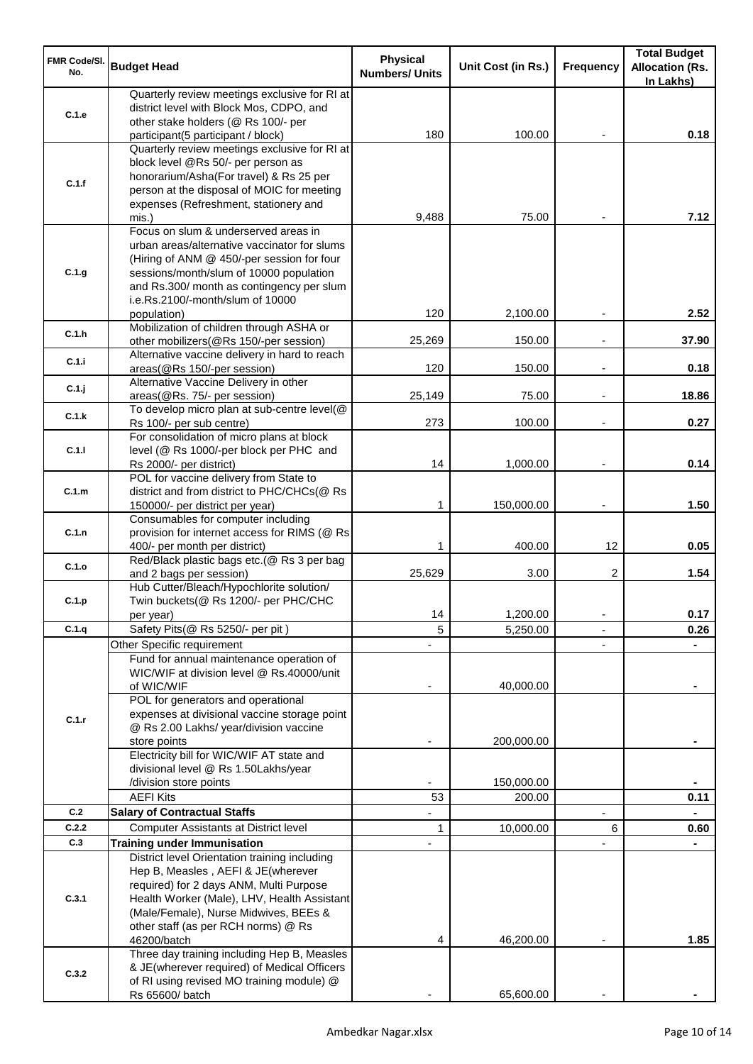| FMR Code/SI. | <b>Budget Head</b>                                                                         | <b>Physical</b>       |                    |                  | <b>Total Budget</b>    |
|--------------|--------------------------------------------------------------------------------------------|-----------------------|--------------------|------------------|------------------------|
| No.          |                                                                                            | <b>Numbers/ Units</b> | Unit Cost (in Rs.) | <b>Frequency</b> | <b>Allocation (Rs.</b> |
|              |                                                                                            |                       |                    |                  | In Lakhs)              |
|              | Quarterly review meetings exclusive for RI at<br>district level with Block Mos, CDPO, and  |                       |                    |                  |                        |
| C.1.e        | other stake holders (@ Rs 100/- per                                                        |                       |                    |                  |                        |
|              | participant(5 participant / block)                                                         | 180                   | 100.00             |                  | 0.18                   |
|              | Quarterly review meetings exclusive for RI at                                              |                       |                    |                  |                        |
|              | block level @Rs 50/- per person as                                                         |                       |                    |                  |                        |
| C.1.f        | honorarium/Asha(For travel) & Rs 25 per                                                    |                       |                    |                  |                        |
|              | person at the disposal of MOIC for meeting                                                 |                       |                    |                  |                        |
|              | expenses (Refreshment, stationery and                                                      |                       |                    |                  |                        |
|              | mis.)                                                                                      | 9,488                 | 75.00              |                  | 7.12                   |
|              | Focus on slum & underserved areas in                                                       |                       |                    |                  |                        |
|              | urban areas/alternative vaccinator for slums<br>(Hiring of ANM @ 450/-per session for four |                       |                    |                  |                        |
| C.1.g.       | sessions/month/slum of 10000 population                                                    |                       |                    |                  |                        |
|              | and Rs.300/ month as contingency per slum                                                  |                       |                    |                  |                        |
|              | i.e.Rs.2100/-month/slum of 10000                                                           |                       |                    |                  |                        |
|              | population)                                                                                | 120                   | 2,100.00           |                  | 2.52                   |
| C.1.h        | Mobilization of children through ASHA or                                                   |                       |                    |                  |                        |
|              | other mobilizers(@Rs 150/-per session)                                                     | 25,269                | 150.00             | $\blacksquare$   | 37.90                  |
| C.1.i        | Alternative vaccine delivery in hard to reach                                              |                       |                    |                  |                        |
|              | areas(@Rs 150/-per session)                                                                | 120                   | 150.00             | $\blacksquare$   | 0.18                   |
| C.1.j        | Alternative Vaccine Delivery in other                                                      |                       |                    |                  |                        |
|              | areas(@Rs. 75/- per session)                                                               | 25,149                | 75.00              |                  | 18.86                  |
| C.1.k        | To develop micro plan at sub-centre level(@                                                | 273                   | 100.00             |                  | 0.27                   |
|              | Rs 100/- per sub centre)<br>For consolidation of micro plans at block                      |                       |                    |                  |                        |
| C.1.1        | level (@ Rs 1000/-per block per PHC and                                                    |                       |                    |                  |                        |
|              | Rs 2000/- per district)                                                                    | 14                    | 1,000.00           |                  | 0.14                   |
|              | POL for vaccine delivery from State to                                                     |                       |                    |                  |                        |
| C.1.m        | district and from district to PHC/CHCs(@ Rs                                                |                       |                    |                  |                        |
|              | 150000/- per district per year)                                                            | 1                     | 150,000.00         |                  | 1.50                   |
|              | Consumables for computer including                                                         |                       |                    |                  |                        |
| C.1.n        | provision for internet access for RIMS (@ Rs                                               |                       |                    |                  |                        |
|              | 400/- per month per district)                                                              | 1                     | 400.00             | 12               | 0.05                   |
| C.1.o        | Red/Black plastic bags etc.(@ Rs 3 per bag                                                 |                       |                    |                  |                        |
|              | and 2 bags per session)<br>Hub Cutter/Bleach/Hypochlorite solution/                        | 25,629                | 3.00               | 2                | 1.54                   |
| C.1.p        | Twin buckets(@ Rs 1200/- per PHC/CHC                                                       |                       |                    |                  |                        |
|              | per year)                                                                                  | 14                    | 1,200.00           |                  | 0.17                   |
| C.1.q        | Safety Pits(@ Rs 5250/- per pit)                                                           | 5                     | 5,250.00           |                  | 0.26                   |
|              | Other Specific requirement                                                                 |                       |                    |                  |                        |
|              | Fund for annual maintenance operation of                                                   |                       |                    |                  |                        |
|              | WIC/WIF at division level @ Rs.40000/unit                                                  |                       |                    |                  |                        |
|              | of WIC/WIF                                                                                 |                       | 40,000.00          |                  |                        |
|              | POL for generators and operational                                                         |                       |                    |                  |                        |
| C.1.r        | expenses at divisional vaccine storage point                                               |                       |                    |                  |                        |
|              | @ Rs 2.00 Lakhs/ year/division vaccine                                                     |                       |                    |                  |                        |
|              | store points                                                                               |                       | 200,000.00         |                  |                        |
|              | Electricity bill for WIC/WIF AT state and                                                  |                       |                    |                  |                        |
|              | divisional level @ Rs 1.50Lakhs/year<br>/division store points                             |                       | 150,000.00         |                  |                        |
|              | <b>AEFI Kits</b>                                                                           | 53                    | 200.00             |                  | 0.11                   |
| C.2          | <b>Salary of Contractual Staffs</b>                                                        |                       |                    |                  |                        |
| C.2.2        | Computer Assistants at District level                                                      | $\mathbf{1}$          | 10,000.00          | 6                | 0.60                   |
| C.3          | <b>Training under Immunisation</b>                                                         |                       |                    |                  |                        |
|              | District level Orientation training including                                              |                       |                    |                  |                        |
|              | Hep B, Measles, AEFI & JE(wherever                                                         |                       |                    |                  |                        |
|              | required) for 2 days ANM, Multi Purpose                                                    |                       |                    |                  |                        |
| C.3.1        | Health Worker (Male), LHV, Health Assistant                                                |                       |                    |                  |                        |
|              | (Male/Female), Nurse Midwives, BEEs &                                                      |                       |                    |                  |                        |
|              | other staff (as per RCH norms) @ Rs                                                        |                       |                    |                  |                        |
|              | 46200/batch                                                                                | 4                     | 46,200.00          |                  | 1.85                   |
|              | Three day training including Hep B, Measles                                                |                       |                    |                  |                        |
| C.3.2        | & JE(wherever required) of Medical Officers                                                |                       |                    |                  |                        |
|              | of RI using revised MO training module) @                                                  |                       |                    |                  |                        |
|              | Rs 65600/ batch                                                                            |                       | 65,600.00          |                  |                        |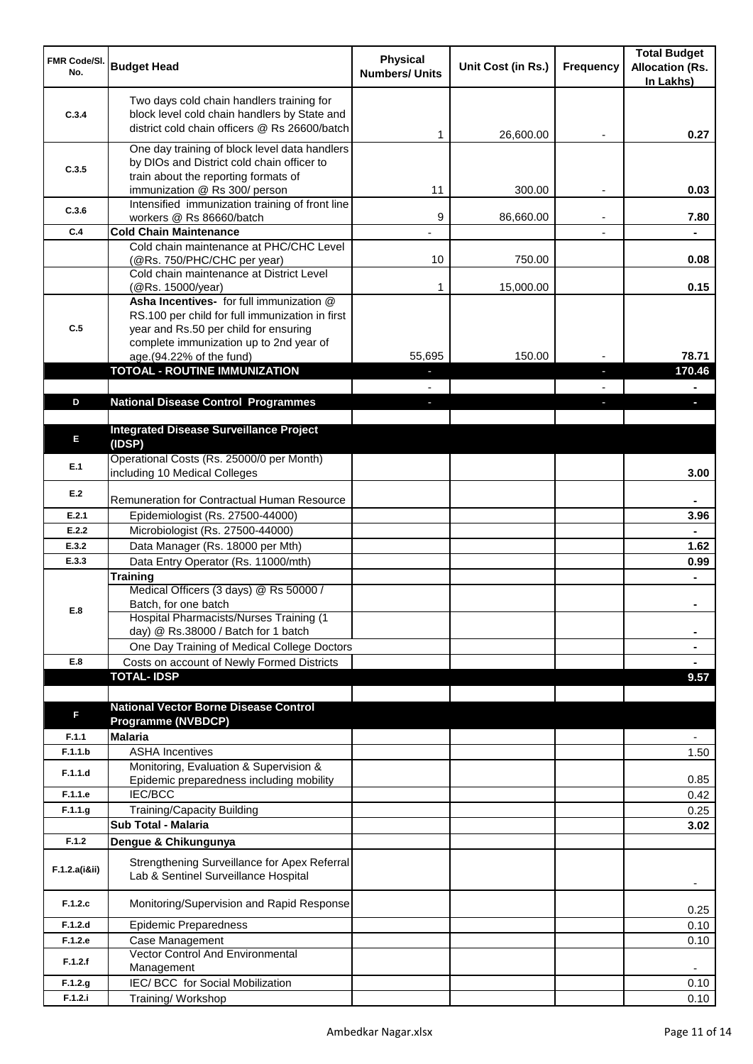| FMR Code/SI.<br>No. | <b>Budget Head</b>                                                                                                                                                   | <b>Physical</b><br><b>Numbers/ Units</b> | Unit Cost (in Rs.) | <b>Frequency</b> | <b>Total Budget</b><br><b>Allocation (Rs.</b><br>In Lakhs) |
|---------------------|----------------------------------------------------------------------------------------------------------------------------------------------------------------------|------------------------------------------|--------------------|------------------|------------------------------------------------------------|
| C.3.4               | Two days cold chain handlers training for<br>block level cold chain handlers by State and<br>district cold chain officers @ Rs 26600/batch                           | 1                                        | 26,600.00          |                  | 0.27                                                       |
| C.3.5               | One day training of block level data handlers<br>by DIOs and District cold chain officer to<br>train about the reporting formats of<br>immunization @ Rs 300/ person | 11                                       | 300.00             |                  | 0.03                                                       |
| C.3.6               | Intensified immunization training of front line<br>workers @ Rs 86660/batch                                                                                          | 9                                        | 86,660.00          |                  | 7.80                                                       |
| C.4                 | <b>Cold Chain Maintenance</b>                                                                                                                                        |                                          |                    |                  |                                                            |
|                     | Cold chain maintenance at PHC/CHC Level<br>(@Rs. 750/PHC/CHC per year)                                                                                               | 10                                       | 750.00             |                  | 0.08                                                       |
|                     | Cold chain maintenance at District Level<br>(@Rs. 15000/year)<br>Asha Incentives- for full immunization @<br>RS.100 per child for full immunization in first         | 1                                        | 15,000.00          |                  | 0.15                                                       |
| C.5                 | year and Rs.50 per child for ensuring<br>complete immunization up to 2nd year of<br>age.(94.22% of the fund)                                                         | 55.695                                   | 150.00             |                  | 78.71                                                      |
|                     | TOTOAL - ROUTINE IMMUNIZATION                                                                                                                                        | $\sim$                                   |                    | a,               | 170.46                                                     |
|                     |                                                                                                                                                                      |                                          |                    |                  |                                                            |
| D                   | <b>National Disease Control Programmes</b>                                                                                                                           |                                          |                    |                  |                                                            |
| E                   | <b>Integrated Disease Surveillance Project</b><br>(IDSP)                                                                                                             |                                          |                    |                  |                                                            |
| E.1                 | Operational Costs (Rs. 25000/0 per Month)<br>including 10 Medical Colleges                                                                                           |                                          |                    |                  | 3.00                                                       |
| E.2                 | <b>Remuneration for Contractual Human Resource</b>                                                                                                                   |                                          |                    |                  |                                                            |
| E.2.1               | Epidemiologist (Rs. 27500-44000)                                                                                                                                     |                                          |                    |                  | 3.96                                                       |
| E.2.2               | Microbiologist (Rs. 27500-44000)                                                                                                                                     |                                          |                    |                  |                                                            |
| E.3.2               | Data Manager (Rs. 18000 per Mth)                                                                                                                                     |                                          |                    |                  | 1.62                                                       |
| E.3.3               | Data Entry Operator (Rs. 11000/mth)                                                                                                                                  |                                          |                    |                  | 0.99                                                       |
| E.8                 | <b>Training</b><br>Medical Officers (3 days) @ Rs 50000 /<br>Batch, for one batch<br>Hospital Pharmacists/Nurses Training (1                                         |                                          |                    |                  |                                                            |
|                     | day) @ Rs.38000 / Batch for 1 batch<br>One Day Training of Medical College Doctors                                                                                   |                                          |                    |                  | ٠<br>٠                                                     |
| E.8                 | Costs on account of Newly Formed Districts                                                                                                                           |                                          |                    |                  |                                                            |
|                     | <b>TOTAL-IDSP</b>                                                                                                                                                    |                                          |                    |                  | 9.57                                                       |
|                     |                                                                                                                                                                      |                                          |                    |                  |                                                            |
| F.                  | <b>National Vector Borne Disease Control</b><br><b>Programme (NVBDCP)</b>                                                                                            |                                          |                    |                  |                                                            |
| F.1.1               | <b>Malaria</b>                                                                                                                                                       |                                          |                    |                  |                                                            |
| F.1.1.b             | <b>ASHA Incentives</b>                                                                                                                                               |                                          |                    |                  | 1.50                                                       |
| F.1.1.d             | Monitoring, Evaluation & Supervision &<br>Epidemic preparedness including mobility                                                                                   |                                          |                    |                  | 0.85                                                       |
| F.1.1.e             | <b>IEC/BCC</b>                                                                                                                                                       |                                          |                    |                  | 0.42                                                       |
| F.1.1.g             | Training/Capacity Building                                                                                                                                           |                                          |                    |                  | 0.25                                                       |
|                     | Sub Total - Malaria                                                                                                                                                  |                                          |                    |                  | 3.02                                                       |
| F.1.2               | Dengue & Chikungunya                                                                                                                                                 |                                          |                    |                  |                                                            |
| F.1.2.a(iⅈ)         | Strengthening Surveillance for Apex Referral<br>Lab & Sentinel Surveillance Hospital                                                                                 |                                          |                    |                  | $\overline{\phantom{a}}$                                   |
| F.1.2.c             | Monitoring/Supervision and Rapid Response                                                                                                                            |                                          |                    |                  | 0.25                                                       |
| F.1.2.d             | <b>Epidemic Preparedness</b>                                                                                                                                         |                                          |                    |                  | 0.10                                                       |
| F.1.2.e             | Case Management                                                                                                                                                      |                                          |                    |                  | 0.10                                                       |
| F.1.2.f             | <b>Vector Control And Environmental</b><br>Management                                                                                                                |                                          |                    |                  |                                                            |
| F.1.2.g             | IEC/ BCC for Social Mobilization                                                                                                                                     |                                          |                    |                  | 0.10                                                       |
| F.1.2.i             | Training/Workshop                                                                                                                                                    |                                          |                    |                  | 0.10                                                       |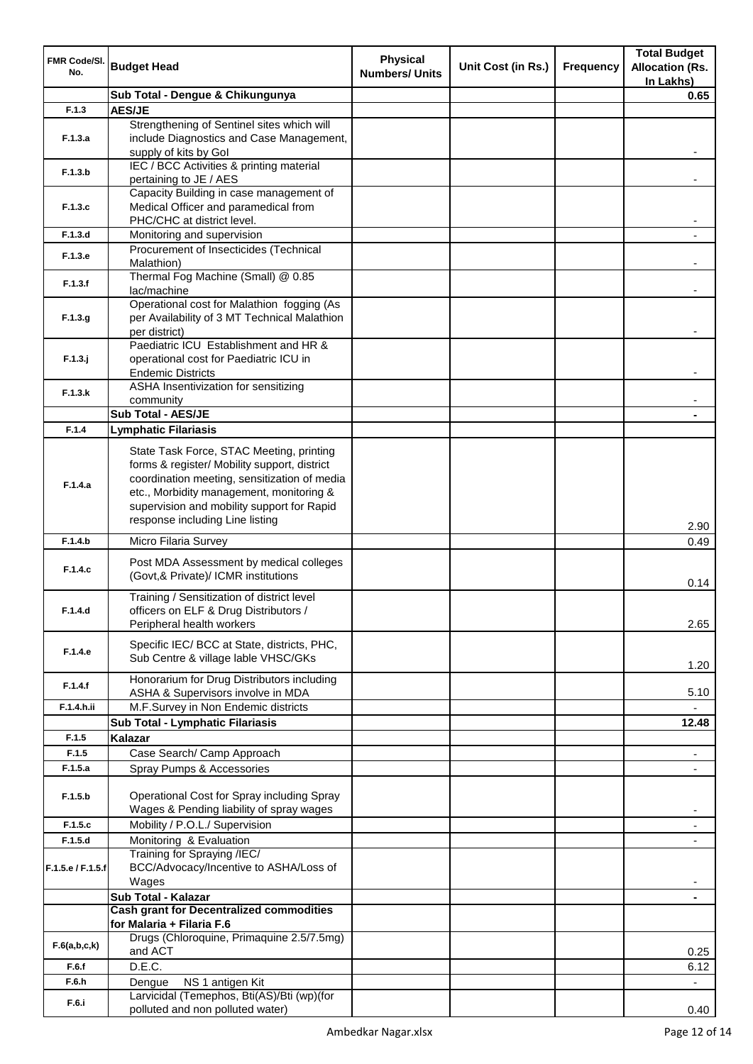| FMR Code/SI.      |                                                 | <b>Physical</b>       |                    |                  | <b>Total Budget</b>      |
|-------------------|-------------------------------------------------|-----------------------|--------------------|------------------|--------------------------|
| No.               | <b>Budget Head</b>                              | <b>Numbers/ Units</b> | Unit Cost (in Rs.) | <b>Frequency</b> | <b>Allocation (Rs.</b>   |
|                   |                                                 |                       |                    |                  | In Lakhs)                |
|                   | Sub Total - Dengue & Chikungunya                |                       |                    |                  | 0.65                     |
| F.1.3             | <b>AES/JE</b>                                   |                       |                    |                  |                          |
|                   | Strengthening of Sentinel sites which will      |                       |                    |                  |                          |
| F.1.3.a           | include Diagnostics and Case Management,        |                       |                    |                  |                          |
|                   | supply of kits by Gol                           |                       |                    |                  |                          |
| F.1.3.b           | IEC / BCC Activities & printing material        |                       |                    |                  |                          |
|                   | pertaining to JE / AES                          |                       |                    |                  |                          |
|                   | Capacity Building in case management of         |                       |                    |                  |                          |
| F.1.3.c           | Medical Officer and paramedical from            |                       |                    |                  |                          |
|                   | PHC/CHC at district level.                      |                       |                    |                  |                          |
| F.1.3.d           | Monitoring and supervision                      |                       |                    |                  |                          |
|                   | Procurement of Insecticides (Technical          |                       |                    |                  |                          |
| F.1.3.e           | Malathion)                                      |                       |                    |                  |                          |
|                   | Thermal Fog Machine (Small) @ 0.85              |                       |                    |                  |                          |
| F.1.3.f           | lac/machine                                     |                       |                    |                  |                          |
|                   | Operational cost for Malathion fogging (As      |                       |                    |                  |                          |
| F.1.3.g           | per Availability of 3 MT Technical Malathion    |                       |                    |                  |                          |
|                   | per district)                                   |                       |                    |                  |                          |
|                   | Paediatric ICU Establishment and HR &           |                       |                    |                  |                          |
| $F.1.3.$ j        | operational cost for Paediatric ICU in          |                       |                    |                  |                          |
|                   | <b>Endemic Districts</b>                        |                       |                    |                  |                          |
|                   | ASHA Insentivization for sensitizing            |                       |                    |                  |                          |
| F.1.3.k           | community                                       |                       |                    |                  |                          |
|                   | <b>Sub Total - AES/JE</b>                       |                       |                    |                  |                          |
| F.1.4             | <b>Lymphatic Filariasis</b>                     |                       |                    |                  |                          |
|                   |                                                 |                       |                    |                  |                          |
|                   | State Task Force, STAC Meeting, printing        |                       |                    |                  |                          |
|                   | forms & register/ Mobility support, district    |                       |                    |                  |                          |
| F.1.4.a           | coordination meeting, sensitization of media    |                       |                    |                  |                          |
|                   | etc., Morbidity management, monitoring &        |                       |                    |                  |                          |
|                   | supervision and mobility support for Rapid      |                       |                    |                  |                          |
|                   | response including Line listing                 |                       |                    |                  | 2.90                     |
| F.1.4.b           | Micro Filaria Survey                            |                       |                    |                  | 0.49                     |
|                   |                                                 |                       |                    |                  |                          |
| F.1.4.c           | Post MDA Assessment by medical colleges         |                       |                    |                  |                          |
|                   | (Govt, & Private)/ ICMR institutions            |                       |                    |                  | 0.14                     |
|                   | Training / Sensitization of district level      |                       |                    |                  |                          |
| F.1.4.d           | officers on ELF & Drug Distributors /           |                       |                    |                  |                          |
|                   | Peripheral health workers                       |                       |                    |                  | 2.65                     |
|                   |                                                 |                       |                    |                  |                          |
| F.1.4.e           | Specific IEC/ BCC at State, districts, PHC,     |                       |                    |                  |                          |
|                   | Sub Centre & village lable VHSC/GKs             |                       |                    |                  | 1.20                     |
|                   | Honorarium for Drug Distributors including      |                       |                    |                  |                          |
| F.1.4.f           | ASHA & Supervisors involve in MDA               |                       |                    |                  | 5.10                     |
| F.1.4.h.ii        | M.F.Survey in Non Endemic districts             |                       |                    |                  |                          |
|                   | Sub Total - Lymphatic Filariasis                |                       |                    |                  | 12.48                    |
| F.1.5             | Kalazar                                         |                       |                    |                  |                          |
| F.1.5             | Case Search/ Camp Approach                      |                       |                    |                  | ۰                        |
| F.1.5.a           | Spray Pumps & Accessories                       |                       |                    |                  |                          |
|                   |                                                 |                       |                    |                  | $\overline{\phantom{a}}$ |
| F.1.5.b           | Operational Cost for Spray including Spray      |                       |                    |                  |                          |
|                   | Wages & Pending liability of spray wages        |                       |                    |                  |                          |
|                   |                                                 |                       |                    |                  |                          |
| F.1.5.c           | Mobility / P.O.L./ Supervision                  |                       |                    |                  |                          |
| F.1.5.d           | Monitoring & Evaluation                         |                       |                    |                  |                          |
|                   | Training for Spraying /IEC/                     |                       |                    |                  |                          |
| F.1.5.e / F.1.5.f | BCC/Advocacy/Incentive to ASHA/Loss of          |                       |                    |                  |                          |
|                   | Wages                                           |                       |                    |                  |                          |
|                   | Sub Total - Kalazar                             |                       |                    |                  |                          |
|                   | <b>Cash grant for Decentralized commodities</b> |                       |                    |                  |                          |
|                   | for Malaria + Filaria F.6                       |                       |                    |                  |                          |
| F.6(a,b,c,k)      | Drugs (Chloroquine, Primaquine 2.5/7.5mg)       |                       |                    |                  |                          |
|                   | and ACT                                         |                       |                    |                  | 0.25                     |
| F.6.f             | D.E.C.                                          |                       |                    |                  | 6.12                     |
| F.6.h             | Dengue<br>NS 1 antigen Kit                      |                       |                    |                  | $\blacksquare$           |
| F.6.i             | Larvicidal (Temephos, Bti(AS)/Bti (wp)(for      |                       |                    |                  |                          |
|                   | polluted and non polluted water)                |                       |                    |                  | 0.40                     |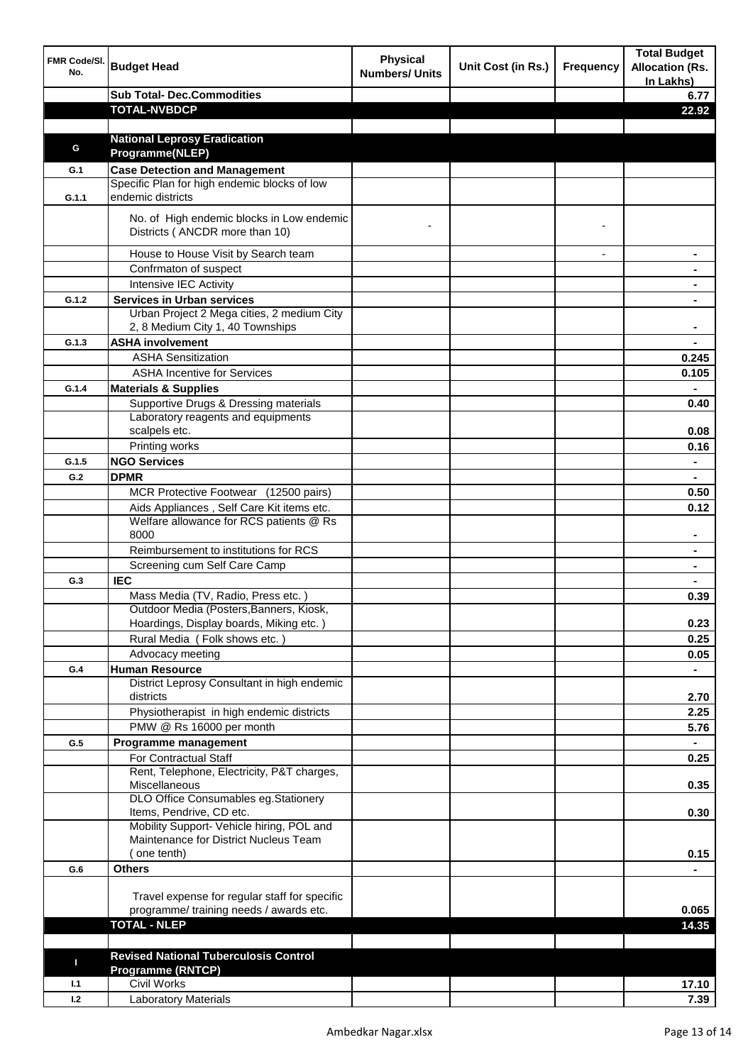| FMR Code/SI.<br>No. | <b>Budget Head</b>                                                          | <b>Physical</b><br><b>Numbers/ Units</b> | Unit Cost (in Rs.) | <b>Frequency</b> | <b>Total Budget</b><br><b>Allocation (Rs.</b><br>In Lakhs) |
|---------------------|-----------------------------------------------------------------------------|------------------------------------------|--------------------|------------------|------------------------------------------------------------|
|                     | <b>Sub Total- Dec.Commodities</b>                                           |                                          |                    |                  | 6.77                                                       |
|                     | <b>TOTAL-NVBDCP</b>                                                         |                                          |                    |                  | 22.92                                                      |
|                     |                                                                             |                                          |                    |                  |                                                            |
|                     | <b>National Leprosy Eradication</b>                                         |                                          |                    |                  |                                                            |
| G                   | Programme(NLEP)                                                             |                                          |                    |                  |                                                            |
| G.1                 | <b>Case Detection and Management</b>                                        |                                          |                    |                  |                                                            |
|                     | Specific Plan for high endemic blocks of low                                |                                          |                    |                  |                                                            |
| G.1.1               | endemic districts                                                           |                                          |                    |                  |                                                            |
|                     | No. of High endemic blocks in Low endemic<br>Districts (ANCDR more than 10) |                                          |                    |                  |                                                            |
|                     | House to House Visit by Search team                                         |                                          |                    |                  |                                                            |
|                     | Confrmaton of suspect                                                       |                                          |                    |                  |                                                            |
|                     | Intensive IEC Activity                                                      |                                          |                    |                  |                                                            |
| G.1.2               | <b>Services in Urban services</b>                                           |                                          |                    |                  |                                                            |
|                     | Urban Project 2 Mega cities, 2 medium City                                  |                                          |                    |                  |                                                            |
|                     | 2, 8 Medium City 1, 40 Townships                                            |                                          |                    |                  |                                                            |
| G.1.3               | <b>ASHA involvement</b>                                                     |                                          |                    |                  |                                                            |
|                     | <b>ASHA Sensitization</b>                                                   |                                          |                    |                  | 0.245                                                      |
|                     | <b>ASHA Incentive for Services</b>                                          |                                          |                    |                  | 0.105                                                      |
| G.1.4               | <b>Materials &amp; Supplies</b>                                             |                                          |                    |                  |                                                            |
|                     | Supportive Drugs & Dressing materials                                       |                                          |                    |                  | 0.40                                                       |
|                     | Laboratory reagents and equipments                                          |                                          |                    |                  |                                                            |
|                     | scalpels etc.                                                               |                                          |                    |                  | 0.08                                                       |
|                     | Printing works                                                              |                                          |                    |                  | 0.16                                                       |
| G.1.5               | <b>NGO Services</b>                                                         |                                          |                    |                  | $\blacksquare$                                             |
| G.2                 | <b>DPMR</b>                                                                 |                                          |                    |                  | $\blacksquare$                                             |
|                     | MCR Protective Footwear (12500 pairs)                                       |                                          |                    |                  | 0.50                                                       |
|                     | Aids Appliances, Self Care Kit items etc.                                   |                                          |                    |                  | 0.12                                                       |
|                     | Welfare allowance for RCS patients @ Rs<br>8000                             |                                          |                    |                  |                                                            |
|                     | Reimbursement to institutions for RCS                                       |                                          |                    |                  |                                                            |
|                     | Screening cum Self Care Camp                                                |                                          |                    |                  |                                                            |
| G.3                 | <b>IEC</b>                                                                  |                                          |                    |                  |                                                            |
|                     | Mass Media (TV, Radio, Press etc.)                                          |                                          |                    |                  | 0.39                                                       |
|                     | Outdoor Media (Posters, Banners, Kiosk,                                     |                                          |                    |                  |                                                            |
|                     | Hoardings, Display boards, Miking etc.)                                     |                                          |                    |                  | 0.23                                                       |
|                     | Rural Media (Folk shows etc.)                                               |                                          |                    |                  | 0.25                                                       |
|                     | Advocacy meeting                                                            |                                          |                    |                  | 0.05                                                       |
| G.4                 | <b>Human Resource</b>                                                       |                                          |                    |                  |                                                            |
|                     | District Leprosy Consultant in high endemic                                 |                                          |                    |                  |                                                            |
|                     | districts                                                                   |                                          |                    |                  | 2.70                                                       |
|                     | Physiotherapist in high endemic districts                                   |                                          |                    |                  | 2.25                                                       |
|                     | PMW @ Rs 16000 per month                                                    |                                          |                    |                  | 5.76                                                       |
| G.5                 | Programme management                                                        |                                          |                    |                  | $\blacksquare$                                             |
|                     | For Contractual Staff                                                       |                                          |                    |                  | 0.25                                                       |
|                     | Rent, Telephone, Electricity, P&T charges,<br>Miscellaneous                 |                                          |                    |                  | 0.35                                                       |
|                     | DLO Office Consumables eg.Stationery                                        |                                          |                    |                  |                                                            |
|                     | Items, Pendrive, CD etc.                                                    |                                          |                    |                  | 0.30                                                       |
|                     | Mobility Support- Vehicle hiring, POL and                                   |                                          |                    |                  |                                                            |
|                     | Maintenance for District Nucleus Team                                       |                                          |                    |                  |                                                            |
|                     | one tenth)                                                                  |                                          |                    |                  | 0.15                                                       |
| G.6                 | <b>Others</b>                                                               |                                          |                    |                  |                                                            |
|                     |                                                                             |                                          |                    |                  |                                                            |
|                     | Travel expense for regular staff for specific                               |                                          |                    |                  |                                                            |
|                     | programme/ training needs / awards etc.<br><b>TOTAL - NLEP</b>              |                                          |                    |                  | 0.065                                                      |
|                     |                                                                             |                                          |                    |                  | 14.35                                                      |
|                     |                                                                             |                                          |                    |                  |                                                            |
| п                   | <b>Revised National Tuberculosis Control</b><br><b>Programme (RNTCP)</b>    |                                          |                    |                  |                                                            |
| 1.1                 | <b>Civil Works</b>                                                          |                                          |                    |                  | 17.10                                                      |
| 1.2                 | <b>Laboratory Materials</b>                                                 |                                          |                    |                  | 7.39                                                       |